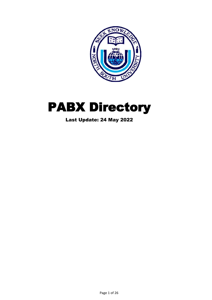



Last Update: 24 May 2022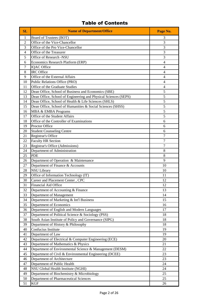# Table of Contents

| Board of Trustees (BOT)<br>3<br>1<br>Office of the Vice-Chancellor<br>3<br>$\overline{2}$<br>3<br>3<br>Office of the Pro Vice-Chancellor<br>Office of the Treasurer<br>3<br>4<br>Office of Research -NSU<br>3<br>5<br>Economics Research Platform (ERP)<br>$\overline{4}$<br>6<br><b>IQAC</b> Office<br>7<br>4<br><b>IRC</b> Office<br>$\overline{4}$<br>8<br>Office of the External Affairs<br>$\overline{4}$<br>9<br>Public Relations Office (PRO)<br>10<br>$\overline{4}$<br>Office of the Graduate Studies<br>11<br>$\overline{4}$<br>5<br>Dean Office, School of Business and Economics (SBE)<br>12<br>5<br>Dean Office, School of Engineering and Physical Sciences (SEPS)<br>13<br>5<br>Dean Office, School of Health & Life Sciences (SHLS)<br>14<br>5<br>Dean Office, School of Humanities & Social Sciences (SHSS)<br>15<br>5<br>16<br>MBA & EMBA Programs<br>Office of the Student Affairs<br>5<br>17<br>Office of the Controller of Examinations<br>18<br>6<br>Proctor Office<br>6<br>19<br><b>Student Counseling Centre</b><br>20<br>6<br>Registrar's Office<br>$\overline{7}$<br>21<br><b>Faculty HR Section</b><br>$\overline{7}$<br>22<br>$\overline{7}$<br>Registrar's Office (Admissions)<br>23<br>Department of Administration<br>24<br>8<br><b>PDE</b><br>25<br>8<br>Department of Operation & Maintenance<br>9<br>26<br>Department of Finance & Accounts<br>27<br>10<br><b>NSU Library</b><br>10<br>28<br>Office of Information Technology (IT)<br>29<br>11<br>30<br>Career and Placement Center, CPC<br>12<br>Financial Aid Office<br>31<br>12<br>13<br>32<br>Department of Accounting & Finance<br>33<br>Department of Management<br>14<br>Department of Marketing & Int'l Business<br>34<br>15<br>Department of Economics<br>35<br>16<br>36<br>Department of English and Modern Languages<br>17<br>37<br>Department of Political Science & Sociology (PSS)<br>18<br>38<br>South Asian Institute of Policy and Governance (SIPG)<br>18<br>39<br>Department of History & Philosophy<br>18<br>Confucius Institute<br>40<br>19<br>41<br>Department of Law<br>19<br>42<br>Department of Electrical & Computer Engineering (ECE)<br>20 | SL | <b>Name of Department/Office</b> | Page No. |
|----------------------------------------------------------------------------------------------------------------------------------------------------------------------------------------------------------------------------------------------------------------------------------------------------------------------------------------------------------------------------------------------------------------------------------------------------------------------------------------------------------------------------------------------------------------------------------------------------------------------------------------------------------------------------------------------------------------------------------------------------------------------------------------------------------------------------------------------------------------------------------------------------------------------------------------------------------------------------------------------------------------------------------------------------------------------------------------------------------------------------------------------------------------------------------------------------------------------------------------------------------------------------------------------------------------------------------------------------------------------------------------------------------------------------------------------------------------------------------------------------------------------------------------------------------------------------------------------------------------------------------------------------------------------------------------------------------------------------------------------------------------------------------------------------------------------------------------------------------------------------------------------------------------------------------------------------------------------------------------------------------------------------------------------------------------------------------------------------------------------------------------------------------|----|----------------------------------|----------|
|                                                                                                                                                                                                                                                                                                                                                                                                                                                                                                                                                                                                                                                                                                                                                                                                                                                                                                                                                                                                                                                                                                                                                                                                                                                                                                                                                                                                                                                                                                                                                                                                                                                                                                                                                                                                                                                                                                                                                                                                                                                                                                                                                          |    |                                  |          |
|                                                                                                                                                                                                                                                                                                                                                                                                                                                                                                                                                                                                                                                                                                                                                                                                                                                                                                                                                                                                                                                                                                                                                                                                                                                                                                                                                                                                                                                                                                                                                                                                                                                                                                                                                                                                                                                                                                                                                                                                                                                                                                                                                          |    |                                  |          |
|                                                                                                                                                                                                                                                                                                                                                                                                                                                                                                                                                                                                                                                                                                                                                                                                                                                                                                                                                                                                                                                                                                                                                                                                                                                                                                                                                                                                                                                                                                                                                                                                                                                                                                                                                                                                                                                                                                                                                                                                                                                                                                                                                          |    |                                  |          |
|                                                                                                                                                                                                                                                                                                                                                                                                                                                                                                                                                                                                                                                                                                                                                                                                                                                                                                                                                                                                                                                                                                                                                                                                                                                                                                                                                                                                                                                                                                                                                                                                                                                                                                                                                                                                                                                                                                                                                                                                                                                                                                                                                          |    |                                  |          |
|                                                                                                                                                                                                                                                                                                                                                                                                                                                                                                                                                                                                                                                                                                                                                                                                                                                                                                                                                                                                                                                                                                                                                                                                                                                                                                                                                                                                                                                                                                                                                                                                                                                                                                                                                                                                                                                                                                                                                                                                                                                                                                                                                          |    |                                  |          |
|                                                                                                                                                                                                                                                                                                                                                                                                                                                                                                                                                                                                                                                                                                                                                                                                                                                                                                                                                                                                                                                                                                                                                                                                                                                                                                                                                                                                                                                                                                                                                                                                                                                                                                                                                                                                                                                                                                                                                                                                                                                                                                                                                          |    |                                  |          |
|                                                                                                                                                                                                                                                                                                                                                                                                                                                                                                                                                                                                                                                                                                                                                                                                                                                                                                                                                                                                                                                                                                                                                                                                                                                                                                                                                                                                                                                                                                                                                                                                                                                                                                                                                                                                                                                                                                                                                                                                                                                                                                                                                          |    |                                  |          |
|                                                                                                                                                                                                                                                                                                                                                                                                                                                                                                                                                                                                                                                                                                                                                                                                                                                                                                                                                                                                                                                                                                                                                                                                                                                                                                                                                                                                                                                                                                                                                                                                                                                                                                                                                                                                                                                                                                                                                                                                                                                                                                                                                          |    |                                  |          |
|                                                                                                                                                                                                                                                                                                                                                                                                                                                                                                                                                                                                                                                                                                                                                                                                                                                                                                                                                                                                                                                                                                                                                                                                                                                                                                                                                                                                                                                                                                                                                                                                                                                                                                                                                                                                                                                                                                                                                                                                                                                                                                                                                          |    |                                  |          |
|                                                                                                                                                                                                                                                                                                                                                                                                                                                                                                                                                                                                                                                                                                                                                                                                                                                                                                                                                                                                                                                                                                                                                                                                                                                                                                                                                                                                                                                                                                                                                                                                                                                                                                                                                                                                                                                                                                                                                                                                                                                                                                                                                          |    |                                  |          |
|                                                                                                                                                                                                                                                                                                                                                                                                                                                                                                                                                                                                                                                                                                                                                                                                                                                                                                                                                                                                                                                                                                                                                                                                                                                                                                                                                                                                                                                                                                                                                                                                                                                                                                                                                                                                                                                                                                                                                                                                                                                                                                                                                          |    |                                  |          |
|                                                                                                                                                                                                                                                                                                                                                                                                                                                                                                                                                                                                                                                                                                                                                                                                                                                                                                                                                                                                                                                                                                                                                                                                                                                                                                                                                                                                                                                                                                                                                                                                                                                                                                                                                                                                                                                                                                                                                                                                                                                                                                                                                          |    |                                  |          |
|                                                                                                                                                                                                                                                                                                                                                                                                                                                                                                                                                                                                                                                                                                                                                                                                                                                                                                                                                                                                                                                                                                                                                                                                                                                                                                                                                                                                                                                                                                                                                                                                                                                                                                                                                                                                                                                                                                                                                                                                                                                                                                                                                          |    |                                  |          |
|                                                                                                                                                                                                                                                                                                                                                                                                                                                                                                                                                                                                                                                                                                                                                                                                                                                                                                                                                                                                                                                                                                                                                                                                                                                                                                                                                                                                                                                                                                                                                                                                                                                                                                                                                                                                                                                                                                                                                                                                                                                                                                                                                          |    |                                  |          |
|                                                                                                                                                                                                                                                                                                                                                                                                                                                                                                                                                                                                                                                                                                                                                                                                                                                                                                                                                                                                                                                                                                                                                                                                                                                                                                                                                                                                                                                                                                                                                                                                                                                                                                                                                                                                                                                                                                                                                                                                                                                                                                                                                          |    |                                  |          |
|                                                                                                                                                                                                                                                                                                                                                                                                                                                                                                                                                                                                                                                                                                                                                                                                                                                                                                                                                                                                                                                                                                                                                                                                                                                                                                                                                                                                                                                                                                                                                                                                                                                                                                                                                                                                                                                                                                                                                                                                                                                                                                                                                          |    |                                  |          |
|                                                                                                                                                                                                                                                                                                                                                                                                                                                                                                                                                                                                                                                                                                                                                                                                                                                                                                                                                                                                                                                                                                                                                                                                                                                                                                                                                                                                                                                                                                                                                                                                                                                                                                                                                                                                                                                                                                                                                                                                                                                                                                                                                          |    |                                  |          |
|                                                                                                                                                                                                                                                                                                                                                                                                                                                                                                                                                                                                                                                                                                                                                                                                                                                                                                                                                                                                                                                                                                                                                                                                                                                                                                                                                                                                                                                                                                                                                                                                                                                                                                                                                                                                                                                                                                                                                                                                                                                                                                                                                          |    |                                  |          |
|                                                                                                                                                                                                                                                                                                                                                                                                                                                                                                                                                                                                                                                                                                                                                                                                                                                                                                                                                                                                                                                                                                                                                                                                                                                                                                                                                                                                                                                                                                                                                                                                                                                                                                                                                                                                                                                                                                                                                                                                                                                                                                                                                          |    |                                  |          |
|                                                                                                                                                                                                                                                                                                                                                                                                                                                                                                                                                                                                                                                                                                                                                                                                                                                                                                                                                                                                                                                                                                                                                                                                                                                                                                                                                                                                                                                                                                                                                                                                                                                                                                                                                                                                                                                                                                                                                                                                                                                                                                                                                          |    |                                  |          |
|                                                                                                                                                                                                                                                                                                                                                                                                                                                                                                                                                                                                                                                                                                                                                                                                                                                                                                                                                                                                                                                                                                                                                                                                                                                                                                                                                                                                                                                                                                                                                                                                                                                                                                                                                                                                                                                                                                                                                                                                                                                                                                                                                          |    |                                  |          |
|                                                                                                                                                                                                                                                                                                                                                                                                                                                                                                                                                                                                                                                                                                                                                                                                                                                                                                                                                                                                                                                                                                                                                                                                                                                                                                                                                                                                                                                                                                                                                                                                                                                                                                                                                                                                                                                                                                                                                                                                                                                                                                                                                          |    |                                  |          |
|                                                                                                                                                                                                                                                                                                                                                                                                                                                                                                                                                                                                                                                                                                                                                                                                                                                                                                                                                                                                                                                                                                                                                                                                                                                                                                                                                                                                                                                                                                                                                                                                                                                                                                                                                                                                                                                                                                                                                                                                                                                                                                                                                          |    |                                  |          |
|                                                                                                                                                                                                                                                                                                                                                                                                                                                                                                                                                                                                                                                                                                                                                                                                                                                                                                                                                                                                                                                                                                                                                                                                                                                                                                                                                                                                                                                                                                                                                                                                                                                                                                                                                                                                                                                                                                                                                                                                                                                                                                                                                          |    |                                  |          |
|                                                                                                                                                                                                                                                                                                                                                                                                                                                                                                                                                                                                                                                                                                                                                                                                                                                                                                                                                                                                                                                                                                                                                                                                                                                                                                                                                                                                                                                                                                                                                                                                                                                                                                                                                                                                                                                                                                                                                                                                                                                                                                                                                          |    |                                  |          |
|                                                                                                                                                                                                                                                                                                                                                                                                                                                                                                                                                                                                                                                                                                                                                                                                                                                                                                                                                                                                                                                                                                                                                                                                                                                                                                                                                                                                                                                                                                                                                                                                                                                                                                                                                                                                                                                                                                                                                                                                                                                                                                                                                          |    |                                  |          |
|                                                                                                                                                                                                                                                                                                                                                                                                                                                                                                                                                                                                                                                                                                                                                                                                                                                                                                                                                                                                                                                                                                                                                                                                                                                                                                                                                                                                                                                                                                                                                                                                                                                                                                                                                                                                                                                                                                                                                                                                                                                                                                                                                          |    |                                  |          |
|                                                                                                                                                                                                                                                                                                                                                                                                                                                                                                                                                                                                                                                                                                                                                                                                                                                                                                                                                                                                                                                                                                                                                                                                                                                                                                                                                                                                                                                                                                                                                                                                                                                                                                                                                                                                                                                                                                                                                                                                                                                                                                                                                          |    |                                  |          |
|                                                                                                                                                                                                                                                                                                                                                                                                                                                                                                                                                                                                                                                                                                                                                                                                                                                                                                                                                                                                                                                                                                                                                                                                                                                                                                                                                                                                                                                                                                                                                                                                                                                                                                                                                                                                                                                                                                                                                                                                                                                                                                                                                          |    |                                  |          |
|                                                                                                                                                                                                                                                                                                                                                                                                                                                                                                                                                                                                                                                                                                                                                                                                                                                                                                                                                                                                                                                                                                                                                                                                                                                                                                                                                                                                                                                                                                                                                                                                                                                                                                                                                                                                                                                                                                                                                                                                                                                                                                                                                          |    |                                  |          |
|                                                                                                                                                                                                                                                                                                                                                                                                                                                                                                                                                                                                                                                                                                                                                                                                                                                                                                                                                                                                                                                                                                                                                                                                                                                                                                                                                                                                                                                                                                                                                                                                                                                                                                                                                                                                                                                                                                                                                                                                                                                                                                                                                          |    |                                  |          |
|                                                                                                                                                                                                                                                                                                                                                                                                                                                                                                                                                                                                                                                                                                                                                                                                                                                                                                                                                                                                                                                                                                                                                                                                                                                                                                                                                                                                                                                                                                                                                                                                                                                                                                                                                                                                                                                                                                                                                                                                                                                                                                                                                          |    |                                  |          |
|                                                                                                                                                                                                                                                                                                                                                                                                                                                                                                                                                                                                                                                                                                                                                                                                                                                                                                                                                                                                                                                                                                                                                                                                                                                                                                                                                                                                                                                                                                                                                                                                                                                                                                                                                                                                                                                                                                                                                                                                                                                                                                                                                          |    |                                  |          |
|                                                                                                                                                                                                                                                                                                                                                                                                                                                                                                                                                                                                                                                                                                                                                                                                                                                                                                                                                                                                                                                                                                                                                                                                                                                                                                                                                                                                                                                                                                                                                                                                                                                                                                                                                                                                                                                                                                                                                                                                                                                                                                                                                          |    |                                  |          |
|                                                                                                                                                                                                                                                                                                                                                                                                                                                                                                                                                                                                                                                                                                                                                                                                                                                                                                                                                                                                                                                                                                                                                                                                                                                                                                                                                                                                                                                                                                                                                                                                                                                                                                                                                                                                                                                                                                                                                                                                                                                                                                                                                          |    |                                  |          |
|                                                                                                                                                                                                                                                                                                                                                                                                                                                                                                                                                                                                                                                                                                                                                                                                                                                                                                                                                                                                                                                                                                                                                                                                                                                                                                                                                                                                                                                                                                                                                                                                                                                                                                                                                                                                                                                                                                                                                                                                                                                                                                                                                          |    |                                  |          |
|                                                                                                                                                                                                                                                                                                                                                                                                                                                                                                                                                                                                                                                                                                                                                                                                                                                                                                                                                                                                                                                                                                                                                                                                                                                                                                                                                                                                                                                                                                                                                                                                                                                                                                                                                                                                                                                                                                                                                                                                                                                                                                                                                          |    |                                  |          |
|                                                                                                                                                                                                                                                                                                                                                                                                                                                                                                                                                                                                                                                                                                                                                                                                                                                                                                                                                                                                                                                                                                                                                                                                                                                                                                                                                                                                                                                                                                                                                                                                                                                                                                                                                                                                                                                                                                                                                                                                                                                                                                                                                          |    |                                  |          |
|                                                                                                                                                                                                                                                                                                                                                                                                                                                                                                                                                                                                                                                                                                                                                                                                                                                                                                                                                                                                                                                                                                                                                                                                                                                                                                                                                                                                                                                                                                                                                                                                                                                                                                                                                                                                                                                                                                                                                                                                                                                                                                                                                          |    |                                  |          |
|                                                                                                                                                                                                                                                                                                                                                                                                                                                                                                                                                                                                                                                                                                                                                                                                                                                                                                                                                                                                                                                                                                                                                                                                                                                                                                                                                                                                                                                                                                                                                                                                                                                                                                                                                                                                                                                                                                                                                                                                                                                                                                                                                          |    |                                  |          |
|                                                                                                                                                                                                                                                                                                                                                                                                                                                                                                                                                                                                                                                                                                                                                                                                                                                                                                                                                                                                                                                                                                                                                                                                                                                                                                                                                                                                                                                                                                                                                                                                                                                                                                                                                                                                                                                                                                                                                                                                                                                                                                                                                          |    |                                  |          |
|                                                                                                                                                                                                                                                                                                                                                                                                                                                                                                                                                                                                                                                                                                                                                                                                                                                                                                                                                                                                                                                                                                                                                                                                                                                                                                                                                                                                                                                                                                                                                                                                                                                                                                                                                                                                                                                                                                                                                                                                                                                                                                                                                          |    |                                  |          |
| 43<br>21<br>Department of Mathematics & Physics                                                                                                                                                                                                                                                                                                                                                                                                                                                                                                                                                                                                                                                                                                                                                                                                                                                                                                                                                                                                                                                                                                                                                                                                                                                                                                                                                                                                                                                                                                                                                                                                                                                                                                                                                                                                                                                                                                                                                                                                                                                                                                          |    |                                  |          |
| Department of Environmental Science & Management (DESM)<br>44<br>22                                                                                                                                                                                                                                                                                                                                                                                                                                                                                                                                                                                                                                                                                                                                                                                                                                                                                                                                                                                                                                                                                                                                                                                                                                                                                                                                                                                                                                                                                                                                                                                                                                                                                                                                                                                                                                                                                                                                                                                                                                                                                      |    |                                  |          |
| Department of Civil & Environmental Engineering (DCEE)<br>23<br>45                                                                                                                                                                                                                                                                                                                                                                                                                                                                                                                                                                                                                                                                                                                                                                                                                                                                                                                                                                                                                                                                                                                                                                                                                                                                                                                                                                                                                                                                                                                                                                                                                                                                                                                                                                                                                                                                                                                                                                                                                                                                                       |    |                                  |          |
| Department of Architecture<br>46<br>23                                                                                                                                                                                                                                                                                                                                                                                                                                                                                                                                                                                                                                                                                                                                                                                                                                                                                                                                                                                                                                                                                                                                                                                                                                                                                                                                                                                                                                                                                                                                                                                                                                                                                                                                                                                                                                                                                                                                                                                                                                                                                                                   |    |                                  |          |
| Department of Public Health<br>47<br>24<br>NSU Global Health Institute (NGHI)<br>48<br>24                                                                                                                                                                                                                                                                                                                                                                                                                                                                                                                                                                                                                                                                                                                                                                                                                                                                                                                                                                                                                                                                                                                                                                                                                                                                                                                                                                                                                                                                                                                                                                                                                                                                                                                                                                                                                                                                                                                                                                                                                                                                |    |                                  |          |
| Department of Biochemistry & Microbiology<br>49<br>25                                                                                                                                                                                                                                                                                                                                                                                                                                                                                                                                                                                                                                                                                                                                                                                                                                                                                                                                                                                                                                                                                                                                                                                                                                                                                                                                                                                                                                                                                                                                                                                                                                                                                                                                                                                                                                                                                                                                                                                                                                                                                                    |    |                                  |          |
| 50<br>Department of Pharmaceutical Sciences<br>25                                                                                                                                                                                                                                                                                                                                                                                                                                                                                                                                                                                                                                                                                                                                                                                                                                                                                                                                                                                                                                                                                                                                                                                                                                                                                                                                                                                                                                                                                                                                                                                                                                                                                                                                                                                                                                                                                                                                                                                                                                                                                                        |    |                                  |          |
| 51<br><b>KGF</b><br>26                                                                                                                                                                                                                                                                                                                                                                                                                                                                                                                                                                                                                                                                                                                                                                                                                                                                                                                                                                                                                                                                                                                                                                                                                                                                                                                                                                                                                                                                                                                                                                                                                                                                                                                                                                                                                                                                                                                                                                                                                                                                                                                                   |    |                                  |          |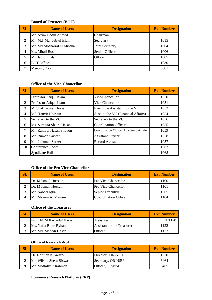#### **Board of Trustees (BOT)**

| SL | <b>Name of Users</b>      | <b>Designation</b> | <b>Ext. Number</b> |
|----|---------------------------|--------------------|--------------------|
|    | Mr. Azim Uddin Ahmed      | Chairman           |                    |
|    | Mr. Md. Mahbub-ul Islam   | Secretary          | 1015               |
| 3  | Mr. Md.Mosharraf H.Mridha | Joint Secretary    | 1004               |
| 4  | Ms. Mitali Bosu           | Senior Officer     | 1006               |
|    | Mr. Jahidul Islam         | Officer            | 1005               |
| 6  | <b>BOT Office</b>         |                    | 1030               |
|    | <b>Meeting Room</b>       |                    | 6301               |

#### **Office of the Vice-Chancellor**

| <b>SL</b> | <b>Name of Users</b>     | <b>Designation</b>                     | <b>Ext. Number</b> |
|-----------|--------------------------|----------------------------------------|--------------------|
| 1         | Professor Atiqul Islam   | Vice-Chancellor                        | 1050               |
| 2         | Professor Atiqul Islam   | Vice-Chancellor                        | 1051               |
| 3         | M. Shakhaowat Hossain    | Executive Assistant to the VC          | 1052               |
| 4         | Md. Tanvir Hossain       | Asst. to the VC (Financial Affairs)    | 1054               |
| 5         | Secretary to the VC      | Secretary to the VC                    | 1056               |
| 6         | Ms. Sumaita Shaira Hasan | <b>Coordination Officer</b>            | 1055               |
|           | Mr. Rakibul Hasan Shovon | Coordination Officer, Academic Affairs | 1059               |
| 8         | Mr. Ruman Sarwar         | <b>Assistant Officer</b>               | 1058               |
| 9         | Md. Lokman Sarker        | Record Assistant                       | 1057               |
| 10        | Conference Room          |                                        | 1063               |
| 11        | Syndicate Hall           |                                        | 1068               |

# **Office of the Pro Vice-Chancellor**

| SL | <b>Name of Users</b> | <b>Designation</b>         | <b>Ext. Number</b> |
|----|----------------------|----------------------------|--------------------|
|    | Dr. M Ismail Hossain | <b>Pro Vice-Chancellor</b> | 1100               |
|    | Dr. M Ismail Hossain | <b>Pro Vice-Chancellor</b> | 1101               |
|    | Mr. Nabeel Iqbal     | Senior Executive           | 1065               |
|    | Mr. Masum Al Mamun   | Co-ordination Officer      | 104                |

#### **Office of the Treasurer**

| <b>Name of Users</b>      | <b>Designation</b>         | <b>Ext. Number</b> |
|---------------------------|----------------------------|--------------------|
| Prof. ABM Rashedul Hassan | Treasurer                  | 1121/1120          |
| Ms. Nafia Binte Ryhan     | Assistant to the Treasurer | 1122               |
| Mr. Md. Mehedi Hasan      | Officer                    | 1123               |

#### **Office of Research -NSU**

| SL | <b>Name of Users</b>    | <b>Designation</b> | <b>Ext. Number</b> |
|----|-------------------------|--------------------|--------------------|
|    | Dr. Norman K.Swazo      | Director, OR-NSU   | 1070               |
|    | Mr. Wilson Shetu Biswas | Secretary, OR-NSU  | 6464               |
|    | Mr. Mostafizur Rahman   | Officer, OR-NSU    | 6465               |

#### **Economics Research Platform (ERP)**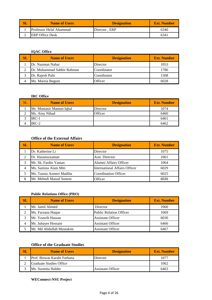| SL | <b>Name of Users</b>           | <b>Designation</b> | <b>Ext. Number</b> |
|----|--------------------------------|--------------------|--------------------|
|    | <b>Professor Helal Ahammad</b> | Director, ERP      | 6340               |
|    | <b>ERP Office Desk</b>         |                    | 634                |

### **IQAC Office**

| SL | <b>Name of Users</b>       | <b>Designation</b> | <b>Ext. Number</b> |
|----|----------------------------|--------------------|--------------------|
|    | Dr. Nazmun Nahar           | Director           | 1053               |
|    | Dr. Muhammad Sabbir Rahman | Coordinator        | 1786               |
|    | Dr. Rajesh Palit           | Coordinator        | 1508               |
|    | Ms. Marzia Begum           | Officer            | 6028               |

### **IRC Office**

| $\alpha$ | <b>Name of Users</b>     | <b>Designation</b> | <b>Ext. Number</b> |
|----------|--------------------------|--------------------|--------------------|
|          | Mr. Muntasir Mamun Iqbal | Director           | 1074               |
|          | Ms. Ainy Nihad           | Officer            | 6460               |
|          | $IRC-1$                  |                    | 6461               |
|          | $IRC-2$                  |                    | 6462               |

#### **Office of the External Affairs**

| $\bf SL$ | <b>Name of Users</b>     | <b>Designation</b>                   | <b>Ext. Number</b> |
|----------|--------------------------|--------------------------------------|--------------------|
|          | Dr. Katherine Li         | Director                             | 1075               |
|          | Dr. Hasanuzzaman         | Asst. Director                       | 1061               |
| 3        | Mr. Sk. Fardin Yaman     | Alumni Affairs Officer               | 1064               |
| 4        | Ms. Samina Alam Miti     | <b>International Affairs Officer</b> | 6029               |
|          | Ms. Tasnia Azmeri Madiha | <b>Coordination Officer</b>          | 6025               |
| 6        | Mr. Mehedi Masud Sumon   | Officer                              | 6026               |

# **Public Relations Office (PRO)**

| SL | <b>Name of Users</b>     | <b>Designation</b>             | <b>Ext. Number</b> |
|----|--------------------------|--------------------------------|--------------------|
|    | Mr. Jamil Ahmed          | Director                       | 1060               |
|    | Ms. Farzana Haque        | <b>Public Relation Officer</b> | 1069               |
|    | Mr. Yeasrib Hassan       | <b>Assistant Officer</b>       | 6030               |
| 4  | Mr. Jubayer Hossain      | <b>Assistant Officer</b>       | 6466               |
|    | Mr. Md Abdullah Mustakim | <b>Assistant Officer</b>       | 6467               |

### **Office of the Graduate Studies**

| SL | <b>Name of Users</b>        | <b>Designation</b>       | <b>Ext. Number</b> |
|----|-----------------------------|--------------------------|--------------------|
|    | Prof. Biswas Karabi Farhana | Director                 | 1077               |
|    | Graduate Studies Office     |                          | 1062               |
|    | Ms. Susmita Halder          | <b>Assistant Officer</b> | 6463               |

#### **WEConnect-NSU Project**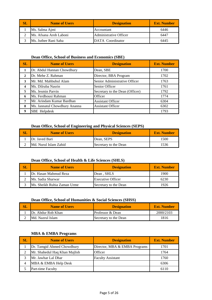| <b>Name of Users</b>   | <b>Designation</b>     | <b>Ext. Number</b> |
|------------------------|------------------------|--------------------|
| Ms. Salma Ajmi         | Accountant             | 6446               |
| Ms. Afsana Arob Laboni | Administrative Officer | 6447               |
| Ms. Juthee Rani Saha   | DATA Coordinator       | 6445               |

#### **Dean Office, School of Business and Economics (SBE)**

| <b>SL</b>    | <b>Name of Users</b>          | <b>Designation</b>              | <b>Ext. Number</b> |
|--------------|-------------------------------|---------------------------------|--------------------|
|              | Dr. Abdul Hannan Chowdhury    | Dean, SBE                       | 1700               |
| $\mathbf{2}$ | Dr. Mehe Z. Rahman            | Director, BBA Program           | 1702               |
| 3            | Mr. Md. Mahbubul Alam         | Senior Administrative Officer   | 1763               |
| 4            | Ms. Dilruba Nasrin            | Senior Officer                  | 1761               |
| 5            | Ms. Jesmin Parvin             | Secretary to the Dean (Officer) | 1792               |
| 6            | Ms. Ferdhousi Rahman          | Officer                         | 1774               |
| 7            | Mr. Arindam Kumar Bardhan     | <b>Assistant Officer</b>        | 6304               |
| 8            | Ms. Jannatul Chowdhury Ananna | <b>Assistant Officer</b>        | 6302               |
| 9            | <b>SBE</b> Helpdesk           |                                 | 1793               |

#### **Dean Office, School of Engineering and Physical Sciences (SEPS)**

| SL | <b>Name of Users</b>   | <b>Designation</b>    | <b>Ext. Number</b> |
|----|------------------------|-----------------------|--------------------|
|    | Dr. Javed Bari         | Dean, SEPS            | 1500               |
|    | IMd. Nurul Islam Zahid | Secretary to the Dean | 1536               |

#### **Dean Office, School of Health & Life Sciences (SHLS)**

| <b>SL</b> | <b>Name of Users</b>         | <b>Designation</b>       | <b>Ext. Number</b> |
|-----------|------------------------------|--------------------------|--------------------|
|           | IDr. Hasan Mahmud Reza       | Dean, SHLS               | 1900               |
|           | Ms. Sadia Sharwar            | <b>Executive Officer</b> | 6230               |
|           | lMs. Sheikh Ruhia Zaman Urme | Secretary to the Dean    | 1926               |

### **Dean Office, School of Humanities & Social Sciences (SHSS)**

| SL | <b>Name of Users</b> | <b>Designation</b>    | Ext. Number |
|----|----------------------|-----------------------|-------------|
|    | Dr. Abdur Rob Khan   | Professor & Dean      | 2000/2103   |
|    | IMd. Nazrul Islam    | Secretary to the Dean | 816         |

#### **MBA & EMBA Programs**

| $\mathbf{SL}$ | <b>Name of Users</b>          | <b>Designation</b>            | <b>Ext. Number</b> |
|---------------|-------------------------------|-------------------------------|--------------------|
|               | Dr. Tamgid Ahmed Chowdhury    | Director, MBA & EMBA Programs | 1701               |
|               | Mr. Shahedul Haq Khan Majlish | <b>Officer</b>                | 1764               |
|               | Mr. Jawhar Lal Dhar           | <b>Faculty Assistant</b>      | 1760               |
| 4             | MBA & EMBA Help Desk          |                               | 6306               |
|               | Part-time Faculty             |                               | 6110               |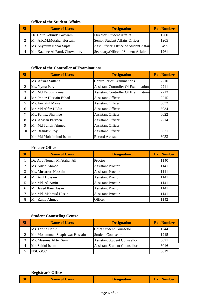### **Office of the Student Affairs**

| SL | <b>Name of Users</b>          | <b>Designation</b>                      | <b>Ext. Number</b> |
|----|-------------------------------|-----------------------------------------|--------------------|
|    | Dr. Gour Gobinda Goswami      | Director, Student Affairs               | 1260               |
|    | Mr. A.K.M.Motaher Hossain     | Senior Student Affairs Officer          | 1205               |
|    | Ms. Shymum Nahar Supta        | Asst Officer , Office of Student Affair | 6495               |
|    | Mr. Kazmee Al Faruk Chowdhury | Secretary, Office of Student Affairs    | 1261               |

# **Office of the Controller of Examinations**

| SL             | <b>Name of Users</b>     | <b>Designation</b>                          | <b>Ext. Number</b> |
|----------------|--------------------------|---------------------------------------------|--------------------|
|                | Ms. Afruza Sultana       | <b>Controller of Examinations</b>           | 2210               |
| 2              | Ms. Nyma Pervin          | <b>Assistant Controller Of Examinations</b> | 2211               |
| 3              | Mr. Md Faruquzzaman      | <b>Assistant Controller Of Examinations</b> | 2213               |
| $\overline{4}$ | Mr. Imtiaz Hossain Fahad | <b>Assistant Officer</b>                    | 2215               |
| 5              | Ms. Jannatul Mawa        | <b>Assistant Officer</b>                    | 6032               |
| 6              | Mr. Md.Alfaz Uddin       | <b>Assistant Officer</b>                    | 6034               |
| 7              | Ms. Farnaz Sharmee       | <b>Assistant Officer</b>                    | 6022               |
| 8              | Ms. Ahasan Parveen       | <b>Assistant Officer</b>                    | 2214               |
| 9              | Mr. Md Tanvir Ahmed      | <b>Assistant Officer</b>                    |                    |
| 10             | Mr. Basudev Roy          | <b>Assistant Officer</b>                    | 6031               |
| 11             | Mr. Md Mohaiminul Islam  | <b>Record Assistant</b>                     | 6033               |

#### **Proctor Office**

| <b>SL</b> | <b>Name of Users</b>       | <b>Designation</b>       | <b>Ext. Number</b> |
|-----------|----------------------------|--------------------------|--------------------|
|           | Dr. Abu Noman M Atahar Ali | Proctor                  | 1140               |
|           | Ms. Silvia Ahmed           | <b>Assistant Proctor</b> | 1141               |
| 3         | Ms. Musarrat Hossain       | <b>Assistant Proctor</b> | 1141               |
| 4         | Mr. Asif Hossain           | <b>Assistant Proctor</b> | 1141               |
|           | Mr. Md. Al-Amin            | <b>Assistant Proctor</b> | 1141               |
| 6         | Mr. Javed Ibne Hasan       | <b>Assistant Proctor</b> | 1141               |
|           | Mr. Md. Mahmud Hasan       | <b>Assistant Proctor</b> | 1141               |
|           | Mr. Rakib Ahmed            | Officer                  | 1142               |

#### **Student Counseling Centre**

| SL | <b>Name of Users</b>           | <b>Designation</b>                  | <b>Ext. Number</b> |
|----|--------------------------------|-------------------------------------|--------------------|
|    | Ms. Fariha Harun               | <b>Chief Student Counselor</b>      | 1244               |
| ◠  | Mr. Mohammad Shaphawat Hossain | <b>Student Counselor</b>            | 1245               |
| 2  | Ms. Masuma Akter Sumi          | <b>Assistant Student Counsellor</b> | 6021               |
|    | Mr. Saidul Islam               | <b>Assistant Student Counsellor</b> | 6016               |
|    | NSU-SCC                        |                                     | 6019               |

# **Registrar's Office**

| <b>SL</b> | <b>Name of Users</b> | <b>Designation</b> | <b>Ext. Number</b> |
|-----------|----------------------|--------------------|--------------------|
|-----------|----------------------|--------------------|--------------------|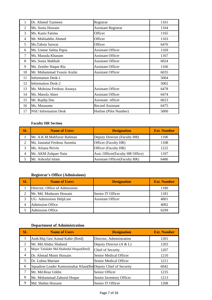| 1              | Dr. Ahmed Tazmeen           | Registrar                  | 1161 |
|----------------|-----------------------------|----------------------------|------|
| $\overline{2}$ | Ms. Sonia Hossain           | <b>Assistant Registrar</b> | 1164 |
| 3              | Ms. Kaniz Fatima            | Officer                    | 1165 |
| 4              | Mr. Mohiuddin Ahmed         | Officer                    | 1163 |
| 5              | Ms.Tahsin Sarwat            | Officer                    | 6476 |
| 6              | Ms. Umme Salma Papia        | <b>Assistant Officer</b>   | 1169 |
| 7              | Ms. Masuda Khanam           | <b>Assistant Officer</b>   | 1167 |
| 8              | Ms. Sonia Mahbub            | <b>Assistant Officer</b>   | 6024 |
| 9              | Ms. Zenifer Haque Ria       | <b>Assistant Officer</b>   | 1166 |
| 10             | Mr. Mohammad Yeasin Arafat  | <b>Assistant Officer</b>   | 6035 |
| 11             | <b>Information Desk-1</b>   |                            | 5004 |
| 12             | <b>Information Desk-2</b>   |                            | 5002 |
| 13             | Ms. Mohsina Ferdous Ananya  | <b>Assistant Officer</b>   | 6478 |
| 14             | Ms. Marufa Akter            | <b>Assistant Officer</b>   | 6474 |
| 15             | Mr. Rajdip Das              | Assistant officer          | 6023 |
| 16             | Ms. Mousume                 | <b>Record Assistant</b>    | 6475 |
| 17             | <b>NSU Information Desk</b> | Hotline (Pilot Number)     | 5000 |

# **Faculty HR Section**

| <b>SL</b> | <b>Name of Users</b>         | <b>Designation</b>                    | <b>Ext. Number</b> |
|-----------|------------------------------|---------------------------------------|--------------------|
|           | Mr. A.K.M.Mahfuzur Rahman    | Deputy Director (Faculty HR)          | 1106               |
|           | Ms. Jannatul Ferdous Susmita | Officer (Faculty HR)                  | 1108               |
|           | Ms. Afsana Pervin            | Officer (Faculty HR)                  | 1222               |
| 4         | Mr. AKM Zulquer Nain         | Asst. Officer(Faculty HR Office)      | 1107               |
|           | Mr. Ashraful Islam           | <b>Assistant Officer</b> (Faculty HR) | 6486               |

# **Registrar's Office (Admissions)**

| SL | <b>Name of Users</b>           | <b>Designation</b>       | <b>Ext. Number</b> |
|----|--------------------------------|--------------------------|--------------------|
|    | Director, Office of Admissions |                          | 1180               |
| ◠  | Mr. Md. Modasser Hossain       | Senior IT Officer        | 1181               |
|    | <b>UG</b> Admissions HelpLine  | <b>Assistant Officer</b> | 4001               |
| 4  | <b>Admission Office</b>        |                          | 4002               |
|    | <b>Admission Office</b>        |                          | 6299               |

# **Department of Administration**

| <b>SL</b>      | <b>Name of Users</b>                                           | <b>Designation</b>        | <b>Ext. Number</b> |
|----------------|----------------------------------------------------------------|---------------------------|--------------------|
|                | Amb.Maj Gen Azmal Kabir (Retd)                                 | Director, Administration  | 1201               |
| 2              | Mr. Md.Abdus Shaheed                                           | Deputy Director $(A & L)$ | 1203               |
| 3              | Major Talukder Md. Shahedul Hoque (Retd)                       | Chief of Security         | 1207               |
| $\overline{4}$ | Dr. Ahmad Munir Hussain                                        | Senior Medical Officer    | 1210               |
| 5              | Dr. Lubna Mariam                                               | Senior Medical Officer    | 1211               |
| 6              | Squadron Leader Kamrunnahar Khan (Ret Deputy Chief of Security |                           | 6042               |
| 7              | Mr. Md.Reaz Uddin                                              | Senior Officer            | 1235               |
| 8              | Mr. Mohammad Zahurul Hoque                                     | Senior Inventory Officer  | 1213               |
| 9              | Md. Shahin Hossain                                             | Senior IT Officer         | 1208               |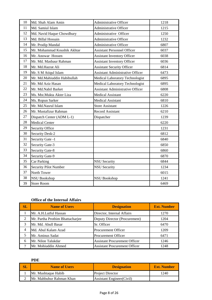| 10     | Md. Shah Alam Amin           | Administrative Officer                  | 1218 |
|--------|------------------------------|-----------------------------------------|------|
| 11     | Md. Samiul Islam             | <b>Administrative Officer</b>           | 1215 |
| 12     | Md. Navid Haque Chowdhury    | Administrative Officer                  | 1250 |
| 13     | Md. Billal Hossain           | <b>Administrative Officer</b>           | 1232 |
| 14     | Mr. Prodip Mandal            | <b>Administrative Officer</b>           | 6807 |
| 15     | Mr. Mohammad Koushik Akhtar  | <b>Assistant Personnel Officer</b>      | 6037 |
| 16     | Mr. Anowar Hossen            | <b>Assistant Inventory Officer</b>      | 6038 |
| 17     | Mr. Md. Masbaur Rahman       | <b>Assistant Inventory Officer</b>      | 6036 |
| 18     | Mr. Md.Hazrat Ali            | <b>Assistant Security Officer</b>       | 6814 |
| 19     | Mr. S M Atiqul Islam         | <b>Assistant Administrative Officer</b> | 6473 |
| 20     | Mr. Md.Mahiuddin Habibullah  | Medical Laboratory Technologist         | 6895 |
| 21     | Mr. Md Aziz Hasan            | Medical Laboratory Technologist         | 6895 |
| 22     | Mr. Md.Nabil Barket          | <b>Assistant Administrative Officer</b> | 6808 |
| 23     | Ms. Mst.Mukta Akter Liza     | <b>Medical Assistant</b>                | 6220 |
| 24     | Ms. Ropun Sarker             | <b>Medical Assistant</b>                | 6810 |
| 25     | Mr. Md.Nasrul Islam          | <b>Store Assistant</b>                  | 1226 |
| 26     | Mr. Mustafizur Rahman        | <b>Record Assistant</b>                 | 6210 |
| $27\,$ | Dispatch Center (ADM L-1)    | Dispatcher                              | 1239 |
| 28     | <b>Medical Center</b>        |                                         | 6220 |
| 29     | Security Office              |                                         | 1231 |
| 30     | <b>Security Desk-2</b>       |                                         | 6812 |
| 31     | Security Gate -1             |                                         | 6840 |
| 32     | Security Gate-3              |                                         | 6850 |
| 33     | <b>Security Gate-8</b>       |                                         | 6860 |
| 34     | Security Gate-9              |                                         | 6870 |
| 35     | <b>Car Parking</b>           | <b>NSU Security</b>                     | 6844 |
| 36     | <b>Security Pilot Number</b> | <b>NSU Security</b>                     | 1234 |
| 37     | North Tower                  |                                         | 6015 |
| 38     | <b>NSU Bookshop</b>          | <b>NSU Bookshop</b>                     | 1241 |
| 39     | <b>Store Room</b>            |                                         | 6469 |

# **Office of the Internal Affairs**

| SL | <b>Name of Users</b>             | <b>Designation</b>                   | <b>Ext. Number</b> |
|----|----------------------------------|--------------------------------------|--------------------|
|    | Mr. A.H.Lutful Hassan            | Director, Internal Affairs           | 1270               |
|    | Mr. Partha Prothim Bhattacharjee | Deputy Director (Procurement)        | 1204               |
|    | Mr. Md. Abull Basar              | Sr. Officer                          | 6470               |
| 4  | Md. Abul Kalam Azad              | <b>Procurement Officer</b>           | 1209               |
|    | Mr. Aminus Sadat                 | <b>Procurement Officer</b>           | 6471               |
| 6  | Mr. Nilon Talukdar               | <b>Assistant Procurement Officer</b> | 1246               |
|    | Mr. Mohiuddin Ahmed              | <b>Assistant Procurement Officer</b> | 1248               |

**PDE**

| 81 L | <b>Name of Users</b>     | <b>Designation</b>                | <b>Ext. Number</b> |
|------|--------------------------|-----------------------------------|--------------------|
|      | Mr. Mushtaque Habib      | <b>Project Director</b>           | 1240               |
|      | Mr. Mahbubur Rahman Khan | <b>Assistant Engineer (Civil)</b> |                    |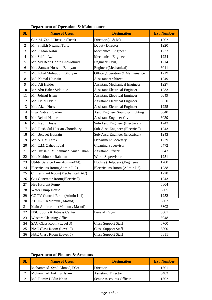| <b>Department of Operation &amp; Maintenance</b> |  |
|--------------------------------------------------|--|
|--------------------------------------------------|--|

| SL             | <b>Name of Users</b>                  | <b>Designation</b>                   | <b>Ext. Number</b> |
|----------------|---------------------------------------|--------------------------------------|--------------------|
| 1              | Cdr M. Zahid Hossain (Retd)           | Director (O & M)                     | 1202               |
| $\overline{2}$ | Mr. Sheikh Nazmul Tariq               | <b>Deputy Director</b>               | 1220               |
| 3              | Md. Ahsan Kabir                       | Mechanical Engineer                  | 1223               |
| $\overline{4}$ | Mr. Saiful Azim                       | Mechanical Engineer                  | 1224               |
| 5              | Mr. Md.Reaz Uddin Chowdhury           | Engineer(Civil)                      | 1214               |
| 6              | Md. Sanwar Hossain Bhuiyan            | Engineer(Mechanical)                 | 6041               |
| $\tau$         | Md. Iqbal Mohiuddin Bhuiyan           | Officer, Operation & Maintenance     | 1219               |
| 8              | Md. Kamal Hossain                     | <b>Assistant Architect</b>           | 1249               |
| 9              | Md. Ali Haider                        | <b>Assistant Mechanical Engineer</b> | 1227               |
| 10             | Mr. Abu Baker Siddique                | <b>Assistant Electrical Engineer</b> | 1233               |
| 11             | Mr. Johirul Islam                     | <b>Assistant Electrical Engineer</b> | 6049               |
| 12             | Md. Helal Uddin                       | <b>Assistant Electrical Engineer</b> | 6050               |
| 13             | Md. Afzal Hossain                     | <b>Assistant Electrical Engineer</b> | 1225               |
| 14             | Engr. Satyajit Sarker                 | Asst. Engineer Sound & Lighting      | 6040               |
| 15             | Mr. Rejaul Haque                      | <b>Assistant Engineer Civil.</b>     | 6039               |
| 16             | Md. Kabil Hossain                     | Sub-Asst. Engineer (Electrical)      | 1243               |
| 17             | Md. Rashedul Hassan Choudhury         | Sub-Asst. Engineer (Electrical)      | 1243               |
| 18             | Mr. Belayet Hossain                   | Sub-Asst. Engineer (Electrical)      | 1243               |
| 19             | Mr. A T M Tarek                       | <b>Department Secretary</b>          | 1229               |
| 20             | Mr. C.M. Zahed Iqbal                  | <b>Cleaning Supervisor</b>           | 6472               |
| 21             | Mr. Hussain Muhammad Aman Ullah       | <b>Assistant Officer</b>             | 6043               |
| 22             | Md. Mahbubur Rahman                   | Work Supervisior                     | 1251               |
| 23             | Utility Service Line(Admin-434).      | Hotline (Helpdesk), Engineers        | 1200               |
| 24             | Electricians Room(Admin L-2)          | Electricians Room (Admin L2)         | 1238               |
| 25             | Chiller Plant Room(Mechanical AC)     |                                      | 1228               |
| 26             | <b>Gas Generator Room(Electrical)</b> |                                      | 1243               |
| 27             | Fire Hydrant Pump                     |                                      | 6804               |
| 28             | Water Pump House                      |                                      | 6805               |
| 29             | CC TV Control Room(Admin L-1).        |                                      | 1252               |
| 30             | AUDI-801(Mamun, Masud)                |                                      | 6802               |
| 31             | Main Auditorium (Mamun, Masud)        |                                      | 6803               |
| 32             | NSU Sports & Fitness Center           | Level-1 (Gym)                        | 6801               |
| 33             | <b>Western Cleaning Office</b>        |                                      | 6048               |
| 34             | SAC Class Room (Level 3)              | <b>Class Support Staff</b>           | 6700               |
| 35             | NAC Class Room (Level 2)              | <b>Class Support Staff</b>           | 6800               |
| 36             | NAC Class Room (Level 5)              | <b>Class Support Staff</b>           | 6811               |

# **Department of Finance & Accounts**

| <b>Name of Users</b>     | <b>Designation</b>        | <b>Ext. Number</b> |
|--------------------------|---------------------------|--------------------|
| Mohammad Syed Ahmed, FCA | Director                  | 1301               |
| Mohammad Fokhrul Islam   | <b>Assistant Director</b> | 6483               |
| Md. Ramiz Uddin Khan     | Senior Accounts Officer   | 302                |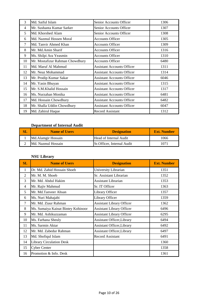| 3  | Md. Saiful Islam                | Senior Accounts Officer           | 1306 |
|----|---------------------------------|-----------------------------------|------|
| 4  | Mr. Sushanta Kumar Sarker       | Senior Accounts Officer           | 1307 |
| 5  | Md. Khorshed Alam               | Senior Accounts Officer           | 1308 |
| 6  | Md. Nazmul Hossen Moral         | <b>Accounts Officer</b>           | 1305 |
| 7  | Md. Tanvir Ahmed Khan           | <b>Accounts Officer</b>           | 1309 |
| 8  | Mr. Md.Amin Sharif              | <b>Accounts Officer</b>           | 1316 |
| 9  | Ms. Shilpi Ara Yeasmin          | <b>Accounts Officer</b>           | 1310 |
| 10 | Mr. Mostafizur Rahman Chowdhury | <b>Accounts Officer</b>           | 6480 |
| 11 | Md. Maruf Al Mahmud             | Assistant Accounts Officer        | 1311 |
| 12 | Mr. Neaz Mohammad               | <b>Assistant Accounts Officer</b> | 1314 |
| 13 | Mr. Prodip Kumar Sakar          | <b>Assistant Accounts Officer</b> | 6046 |
| 14 | Mr. Yasin Bhuyan                | <b>Assistant Accounts Officer</b> | 1315 |
| 15 | Mr. S.M.Khalid Hossain          | <b>Assistant Accounts Officer</b> | 1317 |
| 16 | Ms. Nurzahan Monika             | <b>Assistant Accounts Officer</b> | 6481 |
| 17 | Md. Hossain Chowdhury           | <b>Assistant Accounts Officer</b> | 6482 |
| 18 | Mr. Shalla Uddin Chowdhury      | <b>Assistant Accounts Officer</b> | 6047 |
| 19 | Md. Zahirul Haque               | <b>Record Assistant</b>           | 1312 |

# **Department of Internal Audit**

| <b>SI</b> | <b>Name of Users</b> | <b>Designation</b>          | <b>Ext. Number</b> |
|-----------|----------------------|-----------------------------|--------------------|
|           | Md.Alamgir Hossain   | Head of Internal Audit      | 1066               |
|           | Md. Nazmul Hossain   | Sr. Officer, Internal Audit | 1071               |

# **NSU Library**

| SL | <b>Name of Users</b>               | <b>Designation</b>                | <b>Ext. Number</b> |
|----|------------------------------------|-----------------------------------|--------------------|
| 1  | Dr. Md. Zahid Hossain Shoeb        | University Librarian              | 1351               |
| 2  | Mr. M. M. Shoeb                    | Sr. Assistant Librarian           | 1352               |
| 3  | Mr. Md. Abdul Hakim                | <b>Assistant Librarian</b>        | 1353               |
| 4  | Mr. Rajiv Mahmud                   | Sr. IT Officer                    | 1363               |
| 5  | Mr. Md.Tanveer Ahsan               | Library Officer                   | 1357               |
| 6  | Ms. Nuri Mahajabi                  | Library Officer                   | 1359               |
| 7  | Mr. Md. Ziaur Rahman               | <b>Assistant Library Officer</b>  | 1362               |
| 8  | Ms. Sumaiya Kainat Bintey Kohinoor | <b>Assistant Library Officer</b>  | 6496               |
| 9  | Mr. Md. Ashikuzzaman               | <b>Assistant Library Officer</b>  | 6295               |
| 10 | Ms. Farhana Sheuly                 | <b>Assistant Officer, Library</b> | 6494               |
| 11 | Ms. Sarmin Aktar                   | Assistant Officer, Library        | 6492               |
| 12 | Mr. Md. Zabedur Rahman             | <b>Assistant Officer, Library</b> | 6497               |
| 13 | Md. Shofiqul Islam                 | <b>Record Assistant</b>           | 6491               |
| 14 | <b>Library Circulation Desk</b>    |                                   | 1360               |
| 15 | <b>Cyber Center</b>                |                                   | 1358               |
| 16 | Promotion & Info. Desk             |                                   | 1361               |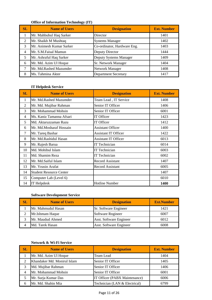#### **Office of Information Technology (IT)**

| SL             | <b>Name of Users</b>     | <b>Designation</b>          | <b>Ext. Number</b> |
|----------------|--------------------------|-----------------------------|--------------------|
|                | Mr. Mahbubul Haq Sarker  | Director                    | 1401               |
|                | Mr. Shaikh M Mushtaq     | <b>Systems Manager</b>      | 1402               |
| 3              | Mr. Animesh Kumar Sarker | Co-ordinator, Hardware Eng. | 1403               |
| $\overline{4}$ | Mr. S.M.Faisal Mamun     | Deputy Director             | 1444               |
| 5              | Mr. Ashraful Haq Sarker  | Deputy Systems Manager      | 1409               |
| 6              | Mr. Md. Azim Ul Hoque    | Sr. Network Manager         | 1404               |
|                | Mr. Md.Rashed Mazumder   | Network Manager             | 1408               |
| 8              | Ms. Tahmina Akter        | <b>Department Secretary</b> | 1417               |

### **IT Helpdesk Service**

| SL | <b>Name of Users</b>           | <b>Designation</b>          | <b>Ext. Number</b> |
|----|--------------------------------|-----------------------------|--------------------|
| 1  | Mr. Md.Rashed Mazumder         | Team Lead, IT Service       | 1408               |
| 2  | Mr. Md. Mujibar Rahman         | Senior IT Officer           | 1406               |
| 3  | Mr. Mohammad Mohsin            | Senior IT Officer           | 6001               |
| 4  | Ms. Kaniz Tamanna Afsari       | IT Officer                  | 1423               |
| 5  | Md. Aktaruzzaman Razu          | IT Officer                  | 1412               |
| 6  | Mr. Md.Mosharaf Hossain        | <b>Assistant Officer</b>    | 1400               |
| 7  | Mr. Tareq Bashar               | <b>Assistant IT Officer</b> | 1422               |
| 8  | Mr. Md.Rashidul Hasan          | <b>Assistant IT Officer</b> | 6013               |
| 9  | Mr. Rajesh Barua               | <b>IT Technician</b>        | 6014               |
| 10 | Md. Mohibul Islam              | <b>IT Technician</b>        | 6003               |
| 11 | Md. Shamim Reza                | <b>IT Technician</b>        | 6002               |
| 12 | Mr. Md.Saiful Islam            | <b>Record Assistant</b>     | 1407               |
| 13 | Mr. Yeasin Arafat              | <b>Record Assistant</b>     | 6005               |
| 14 | <b>Student Resource Center</b> |                             | 1407               |
| 15 | Computer Lab (Level 6)         |                             | 6010               |
| 14 | <b>IT Helpdesk</b>             | <b>Hotline Number</b>       | 1400               |

# **Software Development Service**

| SL | <b>Name of Users</b> | <b>Designation</b>      | <b>Ext.Number</b> |
|----|----------------------|-------------------------|-------------------|
|    | Mr. Mahmudul Hasan   | Sr. Software Engineer   | 1421              |
|    | Mr. Ishmam Haque     | Software Rngineer       | 6007              |
|    | Mr. Maudud Ahmed     | Asst. Software Engineer | 6012              |
|    | Md. Tarek Hasan      | Asst. Software Engineer | 6008              |

#### **Network & Wi-Fi Service**

| <b>SL</b> | <b>Name of Users</b>        | <b>Designation</b>            | <b>Ext. Number</b> |
|-----------|-----------------------------|-------------------------------|--------------------|
|           | Mr. Md. Azim Ul Hoque       | Team Lead                     | 1404               |
|           | Khandaker Md. Monirul Islam | Senior IT Officer             | 1405               |
| 3         | Md. Mujibar Rahman          | Senior IT Officer             | 1406               |
|           | Mr. Mohammad Mohsin         | Senior IT Officer             | 6001               |
|           | Mr. Surja Kumar Das         | IT Officer (PABX Maintenance) | 6006               |
| 6         | Mr. Md. Shahin Mia          | Technician (LAN & Electrical) | 6799               |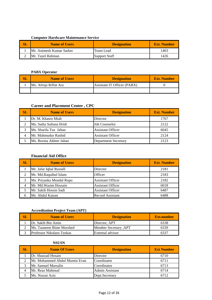#### **Computer Hardware Maintenance Service**

| SL | <b>Name of Users</b>     | <b>Designation</b>   | <b>Ext. Number</b> |
|----|--------------------------|----------------------|--------------------|
|    | Mr. Animesh Kumar Sarker | Team Lead            | 1403               |
|    | Mr. Tavel Rahman         | <b>Support Staff</b> | 1426               |

#### **PABX Operator**

| <b>Name of Users</b>  | <b>Designation</b>          | <b>Ext. Number</b> |
|-----------------------|-----------------------------|--------------------|
| Ms. Afroja Riffat Ara | Assistant IT Officer (PABX) |                    |
|                       |                             |                    |

# **Career and Placement Center , CPC**

| $\mathbf{SL}$ | <b>Name of Users</b>    | <b>Designation</b>          | <b>Ext. Number</b> |
|---------------|-------------------------|-----------------------------|--------------------|
|               | Dr. M. Khasro Miah      | Director                    | 1767               |
|               | Ms. Sadia Sultana Hridi | <b>Job Counselor</b>        | 2122               |
|               | Ms. Sharifa Tuz Jahan   | <b>Assistant Officer</b>    | 6045               |
|               | Mr. Mahmudur Rashid     | <b>Assistant Officer</b>    | 2124               |
|               | Ms. Rezina Akhter Jahan | <b>Department Secretary</b> | 2123               |

#### **Financial Aid Office**

| <b>SL</b> | <b>Name of Users</b>     | <b>Designation</b>       | <b>Ext. Number</b> |
|-----------|--------------------------|--------------------------|--------------------|
|           | Mr. Jafar Iqbal Russell  | Director                 | 2181               |
| 2         | Mr. Md.Raquibul Islam    | Officer                  | 2183               |
| 3         | Ms. Priyanka Mondal Rupu | <b>Assistant Officer</b> | 2182               |
| 4         | Mr. Md. Wasim Hossain    | <b>Assistant Officer</b> | 6018               |
|           | Mr. Sakib Hossin Sadi    | <b>Assistant Officer</b> | 6487               |
| 6         | Mr. Abdul Kaium          | <b>Record Assistant</b>  | 6488               |

### **Accreditation Project Team (APT)**

| SL | <b>Name of Users</b>             | <b>Designation</b>           | Ext.number |
|----|----------------------------------|------------------------------|------------|
|    | Dr. Sakib Bin Amin               | Director, APT                | 6338       |
|    | Ms. Tasneem Binte Morshed        | <b>Member Secretary, APT</b> | 6339       |
|    | <b>Professor Nikolaos Tzokas</b> | External advisor             | 6337       |

#### **NSUSN**

| <b>SL</b> | <b>Name Of Users</b>          | <b>Designation</b> | <b>Ext Number</b> |
|-----------|-------------------------------|--------------------|-------------------|
|           | Dr. Shazzad Hosain            | Director           | 6710              |
|           | Mr. Mohammed Abdul Mumin Evan | Coordinator        | 6711              |
|           | Mr. Samuel Mursalin           | Coordinator        | 6713              |
|           | Mr. Reaz Mahmud               | Admin Assistant    | 6714              |
|           | Ms. Nusrat Aziz               | Dept.Secretary     |                   |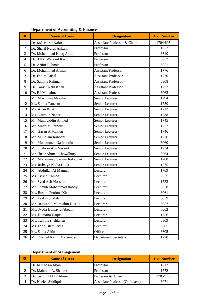| Department of Accounting & Finance |  |  |
|------------------------------------|--|--|
|------------------------------------|--|--|

| SL             | <b>Name of Users</b>         | <b>Designation</b>          | <b>Ext. Number</b> |
|----------------|------------------------------|-----------------------------|--------------------|
| 1              | Dr. Md. Nurul Kabir          | Associate Professor & Chair | 1704/6054          |
| $\overline{2}$ | Dr. Sharif Nurul Ahkam       | Professor                   | 1072               |
| 3              | Dr. Mohammad Istiaq Azim     | Professor                   | 6310               |
| $\overline{4}$ | Dr. AKM Waresul Karim        | Professor                   | 6052               |
| 5              | Dr. Arifur Rahman            | Professor                   | 6051               |
| 6              | Dr. Mohammad Arman           | <b>Assistant Professor</b>  | 1776               |
| $\overline{7}$ | Dr. Fahim Faisal             | <b>Assistant Professor</b>  | 1720               |
| 8              | Dr. Samina Rahman            | <b>Assistant Professor</b>  | 6308               |
| 9              | Dr. Tanvir Nabi Khan         | <b>Assistant Professor</b>  | 1722               |
| 10             | Dr. F J Mohaimen             | <b>Assistant Professor</b>  | 6062               |
| 11             | Mr. Mokhdum Morshed          | Senior Lecturer             | 1794               |
| 12             | Ms. Sanila Taneem            | Senior Lecturer             | 1750               |
| 13             | Ms. Afrin Rifat              | Senior Lecturer             | 1712               |
| 14             | Ms. Nazmun Nahar             | Senior Lecturer             | 1738               |
| 15             | Mr. Muin Uddin Ahmed         | Senior Lecturer             | 1745               |
| 16             | Mr. Mirza M.Ferdous          | Senior Lecturer             | 1757               |
| 17             | Mr. Hasan A.Mamun            | Senior Lecturer             | 1746               |
| 18             | Mr. M.Golam Rabbani          | Senior Lecturer             | 1736               |
| 19             | Mr. Muhammad Nasiruddin      | Senior Lecturer             | 6060               |
| 20             | Mr. Shahran Abu Sayeed       | Senior Lecturer             | 1734               |
| 21             | Mr. Iftear Ahmed Chowdhury   | Senior Lecturer             | 6064               |
| 22             | Mr. Mohammad Sarwar Rekabder | Senior Lecturer             | 1788               |
| 23             | Ms. Rubaiya Nadia Huda       | Senior Lecturer             | 1775               |
| 24             | Mr. Abdullah Al Mamun        | Lecturer                    | 1769               |
| 25             | Ms. Trisha Ahmed             | Lecturer                    | 6055               |
| 26             | Mr. Syed Asif Hossain        | Lecturer                    | 1732               |
| 27             | Mr. Sheikh Mohammad.Rabby    | Lecturer                    | 6058               |
| 28             | Ms. Bushra Ferdous Khan      | Lecturer                    | 6061               |
| 29             | Mr. Taskin Shakib            | Lecturer                    | 6059               |
| 30             | Mr. Rezwanul Mumtahin Husain | Lecturer                    | 6057               |
| 31             | Ms. Syeda Humayra Abedin     | Lecturer                    | 6063               |
| 32             | Ms. Humaira Haque            | Lecturer                    | 1756               |
| 33             | Ms. Tanjina shahjahan        | Lecturer                    | 6309               |
| 34             | Ms. Faria Islam Rista        | Lecturer                    | 6065               |
| 35             | Ms. Sadia Afrin              | Officer                     | 6305               |
| 36             | Mr. Enamul Karim Mazumder    | <b>Department Secretary</b> | 1770               |

# **Department of Management**

| SI | <b>Name of Users</b>   | <b>Designation</b>             | <b>Ext. Number</b> |
|----|------------------------|--------------------------------|--------------------|
|    | Dr. M.Khasro Miah      | Professor                      | 1717               |
|    | Dr. Mahmud A. Shareef  | Professor                      | 1772               |
|    | Dr. Jashim Uddin Ahmed | Professor & Chair              | 1705/1790          |
|    | Dr. Nazlee Siddiqui    | Associate Professor (On Leave) | 6071               |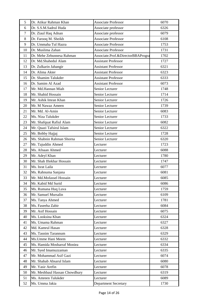| 5  | Dr. Atikur Rahman Khan                 | <b>Associate Professor</b>        | 6070 |
|----|----------------------------------------|-----------------------------------|------|
| 6  | Dr. S.S.M.Sadrul Huda                  | Associate professor               | 6326 |
| 7  | Dr. Ziaul Haq Adnan                    | Associate professor               | 6079 |
| 8  | Dr. Farooq M. Sheikh                   | <b>Associate Professor</b>        | 6108 |
| 9  | Dr. Ummaha Tul Hazra                   | <b>Associate Professor</b>        | 1753 |
| 10 | Dr. Muslima Zahan                      | <b>Associate Professor</b>        | 1731 |
| 11 | Dr. Mehe Zebunnesa Rahman              | Associate.Prof.&DirectorBBAProgra | 1702 |
| 12 | Dr. Md.Shahedul Alam                   | <b>Assistant Professor</b>        | 1727 |
| 13 | Dr. Zulkarin Jahangir                  | <b>Assistant Professor</b>        | 6321 |
| 14 | Dr. Alima Akter                        | <b>Assistant Professor</b>        | 6323 |
| 15 | Dr. Shamim Talukder                    | <b>Assistant Professor</b>        | 6333 |
| 16 | Dr. Samim Al Azad                      | <b>Assistant Professor</b>        | 6073 |
| 17 | Mr. Md.Hannan Miah                     | Senior Lecturer                   | 1748 |
| 18 | Mr. Shahid Hossain                     | Senior Lecturer                   | 1714 |
| 19 | Mr. Ashik Imran Khan                   | Senior Lecturer                   | 1726 |
| 20 | Mr. M Nawaz Ameen                      | Senior Lecturer                   | 1739 |
| 21 | Mr. Md. Al-Amin                        | Senior Lecturer                   | 6083 |
| 22 | Ms. Niza Talukder                      | Senior Lecturer                   | 1733 |
| 23 | Mr. Shafquat Rafiul Alam               | Senior Lecturer                   | 6082 |
| 24 | Mr. Quazi Tafsirul Islam               | Senior Lecturer                   | 6322 |
| 25 | Mr. Bobby Hajjaj                       | Senior Lecturer                   | 1728 |
| 26 | Ms. Shabnin Rahman Shorna              | Senior Lecturer                   | 6320 |
| 27 |                                        | Lecturer                          | 1723 |
| 28 | Mr. Tajuddin Ahmed<br>Ms. Afnaan Ahmed |                                   | 6088 |
|    |                                        | Lecturer                          |      |
| 29 | Mr. Adeyl Khan                         | Lecturer                          | 1780 |
| 30 | Mr. Shah Iftekhar Hossain              | Lecturer                          | 1747 |
| 31 | Ms. Israt Laila                        | Lecturer                          | 6077 |
| 32 | Ms. Rahnuma Sanjana                    | Lecturer                          | 6081 |
| 33 | Mr. Md.Mofassel Hossain                | Lecturer                          | 6085 |
| 34 | Mr. Kabid Md Surid                     | Lecturer                          | 6086 |
| 35 | Ms. Rumana Huq Luva                    | Lecturer                          | 1759 |
| 36 | Mr. Samuel Mursalin                    | Lecturer                          | 6109 |
| 37 | Ms. Tanya Ahmed                        | Lecturer                          | 1781 |
| 38 | Ms. Faseeha Zabir                      | Lecturer                          | 6084 |
| 39 | Mr. Asif Hossain                       | Lecturer                          | 6075 |
| 40 | Ms. Looksina Khan                      | Lecturer                          | 6324 |
| 41 | Ms. Umama Rahman                       | Lecturer                          | 6327 |
| 42 | Md. Kamrul Hasan                       | Lecturer                          | 6328 |
| 43 | Ms. Tasnim Tarannum                    | Lecturer                          | 6329 |
| 44 | Ms. Umme Hani Meem                     | Lecturer                          | 6332 |
| 45 | Ms. Hamida Mosharraf Moniea            | Lecturer                          | 6334 |
| 46 | Mr. Syed Imamuzzaman                   | Lecturer                          | 6335 |
| 47 | Mr. Mohammad Asif Gazi                 | Lecturer                          | 6074 |
| 48 | Mr. Shabab Absarul Islam               | Lecturer                          | 6080 |
| 49 | Mr. Yasir Arefin                       | Lecturer                          | 6078 |
| 50 | Mr. Meshbaul Hassan Chowdhury          | Lecturer                          | 6319 |
| 51 | Ms. Amreen Talukder                    | Lecturer                          | 6089 |
| 52 | Ms. Umma Jakia                         | <b>Department Secretary</b>       | 1730 |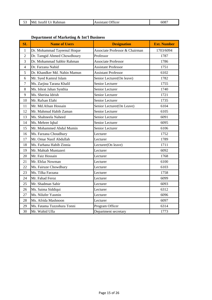|  | 53 Md. Israfil Ur Rahman | <b>Assistant Officer</b> | 6087 |
|--|--------------------------|--------------------------|------|
|--|--------------------------|--------------------------|------|

| SL             | <b>Name of Users</b>         | <b>Designation</b>             | <b>Ext. Number</b> |
|----------------|------------------------------|--------------------------------|--------------------|
| $\mathbf{1}$   | Dr. Mohammad Tayeenul Hoque  | Associate Professor & Chairman | 1703/6094          |
| $\overline{2}$ | Dr. Tamgid Ahmed Chowdhoury  | Professor                      | 1787               |
| 3              | Dr. Mohammad Sabbir Rahman   | <b>Associate Professor</b>     | 1786               |
| $\overline{4}$ | Dr. Farzana Nahid            | <b>Assistant Professor</b>     | 1751               |
| 5              | Dr. Khandker Md. Nahin Mamun | <b>Assistant Professor</b>     | 6102               |
| 6              | Mr. Syed Kamrul Islam        | Senior Lecturer(On leave)      | 1782               |
| 7              | Ms. Zarjina Tarana Khalil    | Senior Lecturer                | 1755               |
| 8              | Ms. Ishrat Jahan Synthia     | Senior Lecturer                | 1740               |
| 9              | Ms. Sherina Idrish           | Senior Lecturer                | 1721               |
| 10             | Mr. Rafsan Elahi             | Senior Lecturer                | 1735               |
| 11             | Mr. Md.Afnan Hossain         | Senior Lecturer(On Leave)      | 6104               |
| 12             | Mr. Mahmud Habib Zaman       | Senior Lecturer                | 6105               |
| 13             | Ms. Shahneela Naheed         | Senior Lecturer                | 6091               |
| 14             | Ms. Mehree Iqbal             | Senior Lecturer                | 6095               |
| 15             | Mr. Mohammed Abdul Mumin     | Senior Lecturer                | 6106               |
| 16             | Ms. Farzana Choudhury        | Lecturer                       | 1752               |
| 17             | Mr. Omar Nasif Abdullah      | Lecturer                       | 1789               |
| 18             | Ms. Farhana Habib Zinnia     | Lecturer(On leave)             | 1711               |
| 19             | Mr. Mahtab Muntazeri         | Lecturer                       | 6092               |
| 20             | Mr. Faiz Hossain             | Lecturer                       | 1768               |
| 21             | Mr. Ehfaz Nowman             | Lecturer                       | 6100               |
| 22             | Ms. Fairuze Chowdhury        | Lecturer                       | 6103               |
| 23             | Ms. Tilka Farzana            | Lecturer                       | 1758               |
| 24             | Mr. Fahad Feroz              | Lecturer                       | 6099               |
| 25             | Mr. Shadman Sahir            | Lecturer                       | 6093               |
| 26             | Ms. Saima Siddiqui           | Lecturer                       | 6312               |
| 27             | Ms. Nilufer Yasmin           | Lecturer                       | 6096               |
| 28             | Ms. Afrida Mashnoon          | Lecturer                       | 6097               |
| 29             | Ms. Fatama Tuzzohura Tonni   | Program Officer                | 6314               |
| 30             | Mr. Wahid Ulla               | Department secretary           | 1773               |

### **Department of Marketing & Int'l Business**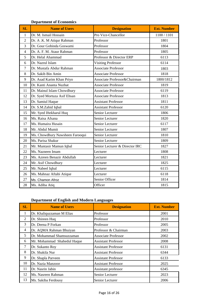### **Department of Economics**

| SL             | <b>Name of Users</b>            | <b>Designation</b>             | <b>Ext. Number</b> |
|----------------|---------------------------------|--------------------------------|--------------------|
| 1              | Dr. M. Ismail Hossain           | Pro Vice-Chancellor            | 1100 / 1101        |
| $\overline{2}$ | Dr. A .K. M Atiqur Rahman       | Professor                      | 1801               |
| 3              | Dr. Gour Gobinda Goswami        | Professor                      | 1804               |
| $\overline{4}$ | Dr. A. F. M. Ataur Rahman       | Professor                      | 1805               |
| 5              | Dr. Helal Ahammad               | Professor & Director ERP       | 6113               |
| 6              | Dr. Nazrul Islam                | <b>Visiting Professor</b>      | 6114               |
| $\overline{7}$ | Dr. Mustafa Abdur Rahman        | <b>Associate Professor</b>     | 1803               |
| 8              | Dr. Sakib Bin Amin              | <b>Associate Professor</b>     | 1818               |
| 9              | Dr. Asad Karim Khan Priyo       | Associate Professor&Chairman   | 1800/1812          |
| 10             | Dr. Kanti Ananta Nuzhat         | <b>Associate Professor</b>     | 1819               |
| 11             | Dr. Mainul Islam Chowdhury      | <b>Associate Professor</b>     | 6119               |
| 12             | Dr. Syed Mortuza Asif Ehsan     | <b>Associate Professor</b>     | 1813               |
| 13             | Dr. Samiul Haque                | <b>Assistant Professor</b>     | 1811               |
| 14             | Dr. S.M.Zahid Iqbal             | <b>Assistant Professor</b>     | 6120               |
| 15             | Mr. Syed Iftekharul Huq         | Senior Lecturer                | 1806               |
| 16             | Ms. Raisa Afsana                | Senior Lecturer                | 1820               |
| 17             | Ms. Humaira Husain              | Senior Lecturer                | 6117               |
| 18             | Mr. Abdul Mumit                 | Senior Lecturer                | 1807               |
| 19             | Ms. Chowdhury Nawsheen Farooqui | Senior Lecturer                | 1810               |
| 20             | Ms. Parisa Shakur               | Senior Lecturer                | 1809               |
| 21             | Mr. Muntasir Mamun Iqbal        | Senior Lecturer & Director IRC | 1827               |
| 22             | Ms. Nazneen Imam                | Lecturer                       | 1808               |
| 23             | Ms. Azreen Benazir Abdullah     | Lecturer                       | 1821               |
| 24             | Mr. Asif Chowdhury              | Lecturer                       | 1825               |
| 25             | Mr. Nabeel Iqbal                | Lecturer                       | 6115               |
| 26             | Ms. Mahnaz Aftabi Atique        | Lecturer                       | 6118               |
| 27             | Ms. Chamon Afroz                | Senior Officer                 | 1814               |
| 28             | Ms. Adiba Atiq                  | Officer                        | 1815               |

# **Department of English and Modern Languages**

| <b>SL</b>      | <b>Name of Users</b>        | <b>Designation</b>         | <b>Ext. Number</b> |
|----------------|-----------------------------|----------------------------|--------------------|
| 1              | Dr. Khaliquzzaman M Elias   | Professor                  | 2001               |
| $\overline{c}$ | Dr. Shireen Huq             | Professor                  | 2010               |
| 3              | Dr. Deena P Forkan          | Professor                  | 2005               |
| 4              | Dr. AQMA Rahman Bhuiyan     | Professor & Chairman       | 2003               |
| 5              | Dr. Mohammad Shamsuzzaman   | <b>Associate Professor</b> | 2002               |
| 6              | Mr. Mohammad Shahedul Haque | <b>Assistant Professor</b> | 2008               |
| 7              | Dr. Sukanto Roy             | <b>Assistant Professor</b> | 6131               |
| 8              | Dr. Shakila Nur             | <b>Assistant Professor</b> | 6344               |
| 9              | Dr. Shapla Parveen          | <b>Assistant Professor</b> | 6133               |
| 10             | Dr. Nazia Manzoor           | <b>Assistant Professor</b> | 2025               |
| 11             | Dr. Nasrin Jabin            | Assistant professor        | 6345               |
| 12             | Ms. Nasreen Rahman          | Senior Lecturer            | 2023               |
| 13             | Ms. Sakiba Ferdousy         | Senior Lecturer            | 2006               |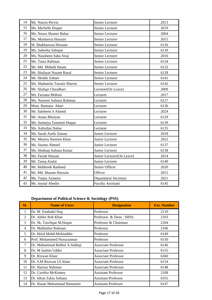| 14 | Ms Nasrin Pervin            | Senior Lecturer           | 2013 |
|----|-----------------------------|---------------------------|------|
| 15 | Ms. Michelle Draper         | Senior Lecturer           | 2019 |
| 16 | Ms. Noora Shamsi Bahar      | Senior Lecturer           | 2004 |
| 17 | Ms. Musharrat Hussain       | Senior Lecturer           | 2015 |
| 18 | M. Shakhaowat Hossain       | Senior Lecturer           | 6126 |
| 19 | Ms. Sabeeha Saleque         | Senior Lecturer           | 6130 |
| 20 | Ms. Nausheen Saba Siraj     | Senior Lecturer           | 2016 |
| 21 | Ms. Tania Rahman            | Senior Lecturer           | 6134 |
| 22 | Mr. Md. Mehedi Hasan        | Senior Lecturer           | 6132 |
| 23 | Mr. Shafayat Nazam Rasul    | Senior Lecturer           | 6128 |
| 24 | Mr. Sheikh Zobaer           | Senior Lecturer           | 6141 |
| 25 | Ms. Shahneela Tasmin Sharmi | Senior Lecturer           | 6142 |
| 26 | Mr. Shafqat Chaudhuri       | Lecturer(On Leave)        | 2009 |
| 27 | Ms. Farzana Mohsin          | Lecturer                  | 2017 |
| 28 | Ms. Nasreen Sultana Rahman  | Lecturer                  | 6127 |
| 29 | Most. Rumana Akter          | Lecturer                  | 6136 |
| 30 | Mr. Saleheen S Ahmed        | Lecturer                  | 2024 |
| 31 | Mr. Atanu Bhuiyan           | Lecturer                  | 6129 |
| 32 | Ms. Sumaiya Tasneem Haque   | Lecturer                  | 6139 |
| 33 | Ms. Ashrafun Nahar          | Lecturer                  | 6135 |
| 34 | Ms. Sarah Asefa Zaman       | Junior Lecturer           | 2018 |
| 35 | Ms. Munira Nasreen Khan     | Junior Lecturer           | 2022 |
| 36 | Ms. Sayma Ahmed             | Junior Lecturer           | 6137 |
| 37 | Ms. Shahnaj Sultana Kaisar  | Junior Lecturer           | 6138 |
| 38 | Ms. Fariah Hassan           | Junior Lecturer(On Leave) | 2014 |
| 39 | Mr. Tareq Arafat            | Junior Lecturer           | 6140 |
| 40 | Mr. Mahboob Rasheed         | Senior Officer            | 2020 |
| 41 | Mr. Md. Masum Hossain       | Officer                   | 2012 |
| 42 | Ms. Tanjia Azmeen           | Department Secretary      | 2021 |
| 43 | Mr. Joynal Abedin           | <b>Faculty Assistant</b>  | 6145 |

# **Department of Political Science & Sociology (PSS)**

| SL           | <b>Name of Users</b>          | <b>Designation</b>         | <b>Ext. Number</b> |
|--------------|-------------------------------|----------------------------|--------------------|
| $\mathbf{1}$ | Dr. M. Emdadul Haq            | Professor                  | 2110               |
| 2            | Dr. Abdur Rob Khan            | Professor & Dean, SHSS.    | 2103               |
| 3            | Dr. Sk. Tawfique M.Haque      | Professor & Chairman       | 2104               |
| 4            | Dr. Mahbubur Rahman           | Professor                  | 2106               |
| 5            | Dr. Helal Mohd.Mohiuddin      | Professor                  | 6149               |
| 6            | Prof. Mohammed Nuruzzaman     | Professor                  | 6150               |
| 7            | Dr. Mohammad Bulbul A.Siddiqi | Associate Professor        | 6146               |
| 8            | Dr. M Jashim Uddin            | <b>Associate Professor</b> | 6155               |
| 9            | Dr. Rizwan Khair              | <b>Associate Professor</b> | 6360               |
| 10           | Dr. S.M Rezwan Ul Alam        | <b>Associate Professor</b> | 6154               |
| 11           | Dr. Harisur Rahman            | <b>Associate Professor</b> | 6148               |
| 12           | Dr. Cynthia McKinney          | <b>Assistant Professor</b> | 2108               |
| 13           | Dr. Ishrat Zakia Sultana      | <b>Assistant Professor</b> | 6355               |
| 14           | Dr. Hasan Muhammad Baniamin   | Assistant Professor        | 6147               |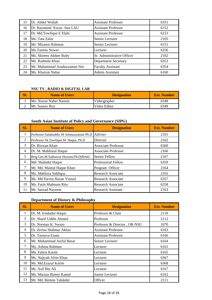| 15 | Dr. Abdul Wohab              | <b>Assistant Professor</b>  | 6351 |
|----|------------------------------|-----------------------------|------|
| 16 | Dr. Raymond Kwun -Sun LAU    | <b>Assistant Professor</b>  | 6152 |
| 17 | Dr. Md.Towfique E Elahi      | <b>Assistant Professor</b>  | 6153 |
| 18 | Ms. Tata Zafar               | Senior Lecturer             | 2105 |
| 19 | Mr. Mizanur Rahman           | Senior Lecturer             | 6151 |
| 20 | Ms.Tasmia Nower              | Lecturer                    | 6356 |
| 21 | Ms. Shireen Akhter Ruby      | Sr. Administrative Officer  | 2102 |
| 22 | Ms. Rudmila Khan             | <b>Department Secretary</b> | 6353 |
| 23 | Mr. Muhammad Asaduzzaman Nur | <b>Faculty Assistant</b>    | 6354 |
| 24 | Ms. Khairun Nahar            | Admin Assistant             | 6160 |

# **NSU TV , RADIO & DIGITAL LAB**

| $\mathbf{SL}$ | <b>Name of Users</b>    | <b>Designation</b> | <b>Ext. Number</b> |
|---------------|-------------------------|--------------------|--------------------|
|               | Ms. Nusrat Naher Naznin | Videographer       | 6348               |
|               | Mr. Sourav Roy          | Video Editor       | 6349               |

# **South Asian Institute of Policy and Governance (SIPG)**

| SL             | <b>Name of Users</b>                    | <b>Designation</b>         | <b>Ext. Number</b> |
|----------------|-----------------------------------------|----------------------------|--------------------|
| -1             | Professor Salahuddin M Aminuzzaman Ph.D | Adviser                    | 2161               |
| 2              | Professor Sk.Tawfique M. Haque, Ph.D    | Director                   | 2162               |
| 3              | Dr. Rizwan Khair                        | <b>Associate Professor</b> | 6360               |
| $\overline{4}$ | Dr. M. Mahfuzul Haque                   | <b>Associate Professor</b> | 2166               |
| 5              | Brig.Gen.M.Sakhawat Hussain, Ph.D(Retd) | <b>Senior Fellow</b>       | 2167               |
| 6              | Md Shahidul Haque                       | Professorial Fellow        | 6359               |
| 7              | Mr. Md. Mainul Haque Khan               | Program Officer            | 2164               |
| 8              | Ms. Mahfuza Siddiqua                    | <b>Research Associate</b>  | 2165               |
| 9              | Mr. Md Parvez Hasan Yousuf              | <b>Research Associate</b>  | 6357               |
| 10             | Ms. Farin Shabnam Ritu                  | <b>Research Associate</b>  | 6358               |
| 11             | Mr. Sazzad Nayeem                       | <b>Research Assistant</b>  | 2163               |

# **Department of History & Philosophy**

| SL | <b>Name of Users</b>      | <b>Designation</b>           | <b>Ext. Number</b> |
|----|---------------------------|------------------------------|--------------------|
| 1  | Dr. M. Emdadul Haque      | Professor & Chair            | 2110               |
| 2  | Dr. Sharif Uddin Ahmed    | Professor                    | 2112               |
| 3  | Dr. Norman K. Swazo       | Professor & Director, OR-NSU | 1070               |
| 4  | Dr. Zerina Shabnaz Akkas  | <b>Assistant Professor</b>   | 6163               |
| 5  | Dr. Tasnuva Enam          | <b>Assistant Professor</b>   | 6166               |
| 6  | Mr. Muhammad Asiful Basar | Senior Lecturer              | 6164               |
| 7  | Ms. Ashma Rahman          | Lecturer                     | 6161               |
| 8  | Ms. Fahria Karim          | Lecturer                     | 6165               |
| 9  | Ms. Najiyah Afrin Khan    | Lecturer                     | 6367               |
| 10 | Mr. Md.Ezazul Karim       | Lecturer                     | 6368               |
| 11 | Mr. Asif Bin Ali          | Lecturer                     | 6167               |
| 12 | Ms. Marzan Bintey Kamal   | Junior Lecturer              | 6162               |
| 13 | Mr. Md. Remon Talukder    | Officer                      | 2111               |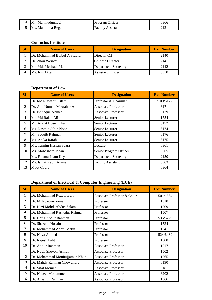| 14 | Mr. Mahmudunnabi  | Program Officer          | 6366 |
|----|-------------------|--------------------------|------|
|    | Ms. Mahmuda Begum | <b>Faculty Assistant</b> |      |

#### **Confucius Institute**

| SĽ | <b>Name of Users</b>          | <b>Designation</b>          | <b>Ext. Number</b> |
|----|-------------------------------|-----------------------------|--------------------|
|    | Dr. Mohammad Bulbul A.Siddiqi | Director C.I                | 2140               |
|    | Dr. Zhou Weiwei               | <b>Chinese Director</b>     | 2141               |
|    | Mr. Md. Meahadi Mamun         | <b>Department Secretary</b> | 2142               |
|    | Ms. Irin Akter                | <b>Assistant Officer</b>    | 6350               |

### **Department of Law**

| SL | <b>Name of Users</b>       | <b>Designation</b>          | <b>Ext. Number</b> |
|----|----------------------------|-----------------------------|--------------------|
| 1  | Dr. Md.Rizwanul Islam      | Professor & Chairman        | 2100/6177          |
| 2  | Dr. Abu Noman M.Atahar Ali | <b>Associate Professor</b>  | 6171               |
| 3  | Dr. Ishtiaque Ahmed        | <b>Associate Professor</b>  | 6179               |
| 4  | Mr. Md.Rajab Ali           | Senior Lecturer             | 1754               |
| 5  | Mr. Arafat Hosen Khan      | Senior Lecturer             | 6172               |
| 6  | Ms. Nasmin Jabin Noor      | Senior Lecturer             | 6174               |
| 7  | Mr. Saquib Rahman          | Senior Lecturer             | 6176               |
| 8  | Ms. Anika Rafah            | Senior Lecturer             | 6175               |
| 9  | Ms. Tasnim Hassan Saara    | Lecturer                    | 6361               |
| 10 | Ms. Mobashera Jahan        | Senior Program Officer      | 6365               |
| 11 | Ms. Fatama Islam Keya      | <b>Department Secretary</b> | 2150               |
| 12 | Ms. Ishrat Kabir Annya     | <b>Faculty Assistant</b>    | 6363               |
| 13 | <b>Moot Court</b>          |                             | 6364               |

# **Department of Electrical & Computer Engineering (ECE)**

| SL             | <b>Name of Users</b>           | <b>Designation</b>          | <b>Ext. Number</b> |
|----------------|--------------------------------|-----------------------------|--------------------|
| 1              | Dr. Mohammad Rezaul Bari       | Associate Professor & Chair | 1501/1564          |
| $\overline{2}$ | Dr. M. Rokonuzzaman            | Professor                   | 1510               |
| 3              | Dr. Kazi Mohd. Abdus Salam     | Professor                   | 1509               |
| 4              | Dr. Mohammad Rashedur Rahman   | Professor                   | 1507               |
| 5              | Dr. Hafiz Abdur Rahman         | Professor                   | 1535/6229          |
| 6              | Dr. Shazzad Hosain             | Professor                   | 1534               |
| 7              | Dr. Mohammad Abdul Matin       | Professor                   | 1541               |
| 8              | Dr. Nova Ahmed                 | Professor                   | 1524/6439          |
| 9              | Dr. Rajesh Palit               | Professor                   | 1508               |
| 10             | Dr. Atiqur Rahman              | <b>Associate Professor</b>  | 1517               |
| 11             | Dr. Nabil Shovon Ashraf        | <b>Associate Professor</b>  | 1502               |
| 12             | Dr. Mohammad Monirujjaman Khan | <b>Associate Professor</b>  | 1565               |
| 13             | Dr. Mahdy Rahman Chowdhury     | <b>Associate Professor</b>  | 6190               |
| 14             | Dr. Sifat Momen                | <b>Associate Professor</b>  | 6181               |
| 15             | Dr. Nabeel Mohammed            | <b>Associate Professor</b>  | 6202               |
| 16             | Dr. Ahsanur Rahman             | <b>Associate Professor</b>  | 1566               |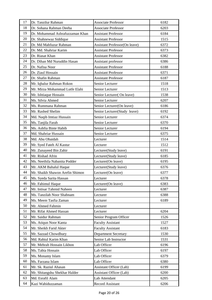| 17 | Dr. Tanzilur Rahman             | <b>Associate Professor</b>           | 6182 |
|----|---------------------------------|--------------------------------------|------|
| 18 | Dr. Sohana Rahman Deeba         | <b>Associate Professor</b>           | 6203 |
| 19 | Dr. Mohammad Ashrafuzzaman Khan | <b>Assistant Professor</b>           | 6184 |
| 20 | Dr. Shahnewaz Siddique          | <b>Assistant Professor</b>           | 1515 |
| 21 | Dr. Md Mahfuzur Rahman          | <b>Assistant Professor(On leave)</b> | 6372 |
| 22 | Dr. Md. Shahriar Karim          | <b>Assistant Professor</b>           | 6373 |
| 23 | Dr. Riasat Khan                 | <b>Assistant Professor</b>           | 6382 |
| 24 | Dr. Dihan Md Nuruddin Hasan     | Assistant professor                  | 6386 |
| 25 | Dr. Nafisa Noor                 | <b>Assistant Professor</b>           | 6188 |
| 26 | Dr. Ziaul Hossain               | <b>Assistant Professor</b>           | 6371 |
| 27 | Dr. Shafin Rahman               | <b>Assistant Professor</b>           | 6187 |
| 28 | Mr. Iqbalur Rahman Rokon        | Senior Lecturer                      | 1518 |
| 29 | Mr. Mirza Mohammad Lutfe Elahi  | Senior Lecturer                      | 1513 |
| 30 | Mr. Ishtiaque Hossain           | Senior Lecturer(On leave)            | 1538 |
| 31 | Ms. Silvia Ahmed                | Senior Lecturer                      | 6207 |
| 32 | Ms. Rummana Rahman              | Senior Lecturer(On leave)            | 6186 |
| 33 | Mr. Rashed Shelim               | Senior Lecturer(Study leave)         | 6192 |
| 34 | Md. Naqib Imtiaz Hussain        | Senior Lecturer                      | 6374 |
| 35 | Ms. Tanjila Farah               | Senior Lecturer                      | 6370 |
| 36 | Ms. Ashfia Binte Habib          | Senior Lecturer                      | 6194 |
| 37 | Md. Shahriar Hussain            | Senior Lecturer                      | 6375 |
| 38 | Md. Abu Obaidah                 | Lecturer                             | 1514 |
| 39 | Mr. Syed Fateh Al Kastur        | Lecturer                             | 1512 |
| 40 | Mr. Zunayeed Bin Zahir          | Lecturer(Study leave)                | 6191 |
| 41 | Mr. Rishad Afrin                | Lecturer(Study leave)                | 6185 |
| 42 | Ms. Neethila Nabanita Podder    | Lecturer(On leave)                   | 6195 |
| 43 | Mr. AKM Bahalul Haque           | Lecturer(Study leave)                | 6376 |
| 44 | Mr. Shaikh Shawon Arefin Shimon | Lecturer(On leave)                   | 6377 |
| 45 | Ms. Syeda Sarita Hassan         | Lecturer                             | 6378 |
| 46 | Mr. Fahimul Haque               | Lecturer(On leave)                   | 6383 |
| 47 | Mr. Intisar Tahmid Naheen       | Lecturer                             | 6387 |
| 48 | Ms. Tanzilah Noor Shabnam       | Lecturer                             | 6388 |
| 49 | Ms. Meem Tasfia Zaman           | Lecturer                             | 6189 |
| 50 | Mr. Ahmed Fahmin                | Lecturer                             |      |
| 51 | Mr. Rifat Ahmed Hassan          | Lecturer                             | 6204 |
| 52 | Mr. Saidur Rahman               | Senior Program Officer               | 1526 |
| 53 | Ms. Atiqun Noor Kanta           | <b>Faculty Assistant</b>             | 1527 |
| 54 | Mr. Sheikh Farid Akter          | <b>Faculty Assistant</b>             | 6183 |
| 55 | Mr. Sazzad Chowdhury            | <b>Department Secretary</b>          | 1530 |
| 56 | Md. Rabiul Karim Khan           | Senior Lab Instructor                | 1531 |
| 57 | Mr. Mehrab Hossain Likhon       | Lab Officer                          | 6196 |
| 58 | Ms. Tabia Hossain               | Lab Officer                          | 6197 |
| 59 | Ms. Monamy Islam                | Lab Officer                          | 6379 |
| 60 | Ms. Farzana Islam               | Lab Officer                          | 6380 |
| 61 | Mr. Sk. Raziul Ahasan           | <b>Assistant Officer (Lab)</b>       | 6199 |
| 62 | Mr. Shitangshu Shekhar Halder   | Assistant Officer (Lab)              | 6200 |
| 63 | Md. Esrafil Alam                | Lab Attendant                        | 6205 |
| 64 | Kazi Wahiduzzaman               | <b>Record Assistant</b>              | 6206 |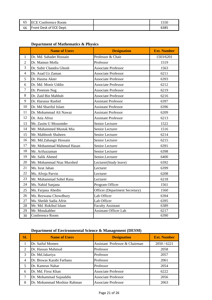| <b>ECE Conference Room</b> |      |
|----------------------------|------|
| 66 Front Desk of ECE Dept. | 6385 |

# **Department of Mathematics & Physics**

|                | <b>Name of Users</b>      | <b>Designation</b>             | <b>Ext. Number</b> |
|----------------|---------------------------|--------------------------------|--------------------|
| $\mathbf{1}$   | Dr. Md. Sahadet Hossain   | Professor & Chair              | 1503/6201          |
| $\overline{2}$ | Dr. Mamun Molla           | Professor                      | 1519               |
| 3              | Dr. Subir Chandra Ghosh   | <b>Associate Professor</b>     | 1563               |
| $\overline{4}$ | Dr. Asad Uz Zaman         | <b>Associate Professor</b>     | 6211               |
| 5              | Dr. Hasina Akter          | <b>Associate Professor</b>     | 6393               |
| 6              | Dr. Md. Monir Uddin       | <b>Associate Professor</b>     | 6212               |
| $\overline{7}$ | Dr. Preetom Nag           | <b>Associate Professor</b>     | 6219               |
| 8              | Dr. Zaid Bin Mahbub       | <b>Associate Professor</b>     | 6216               |
| 9              | Dr. Harunur Rashid        | <b>Assistant Professor</b>     | 6397               |
| 10             | Dr. Md Shariful Islam     | <b>Assistant Professor</b>     | 6396               |
| 11             | Dr. Mohammad Ali Nawaz    | <b>Assistant Professor</b>     | 6209               |
| 12             | Dr. Atia Afroz            | <b>Assistant Professor</b>     | 6213               |
| 13             | Mr. Zasim U Mozumder      | Senior Lecturer                | 1522               |
| 14             | Mr. Muhammed Mustak Mia   | Senior Lecturer                | 1516               |
| 15             | Mr. Mahboob Shaheen       | Senior Lecturer                | 6214               |
| 16             | Mr. Md.Zahangir Hossain   | Senior Lecturer                | 6215               |
| 17             | Mr. Mohammad Mahmud Hasan | Senior Lecturer                | 6391               |
| 18             | Mr. Arifuzzaman           | Senior Lecturer                | 6398               |
| 19             | Mr. Salik Ahmed           | Senior.Lecturer                | 6400               |
| 20             | Mr. Mohammad Niaz Murshed | Lecturer(Study leave)          | 6392               |
| 21             | Ms. Israt Jahan           | Lecturer                       | 6399               |
| 22             | Ms. Afroja Parvin         | Lecturer                       | 6208               |
| 23             | Mr. Muhammad Sohel Rana   | Lecturer                       | 6218               |
| 24             | Ms. Nahid Sanjana         | Program Officer                | 1561               |
| 25             | Ms. Farjana Abedin        | Officer (Department Secretary) | 1560               |
| 26             | Ms. Rezwana Chowdhury     | Lab Officer                    | 6394               |
| 27             | Ms. Sheikh Sadia Afrin    | Lab Officer                    | 6395               |
| 28             | Mr. Md. Rokibul Islam     | <b>Faculty Assistant</b>       | 6389               |
| 29             | Mr. Motakabber            | <b>Assistant Officer Lab</b>   | 6217               |
| 30             | Conference Room           |                                | 6390               |

# **Department of Environmental Science & Management (DESM)**

| SL | <b>Name of Users</b>        | <b>Designation</b>             | <b>Ext. Number</b> |
|----|-----------------------------|--------------------------------|--------------------|
|    | Dr. Saiful Momen            | Assistant Professor & Chairman | 2050/6221          |
| 2  | Dr. Hassan Mahmud           | Professor                      | 2058               |
| 3  | Dr. Md.Jakariya             | Professor                      | 2057               |
| 4  | Dr. Biswas Karabi Farhana   | Professor                      | 2061               |
| 5  | Dr. Kamrun Nahar            | Professor                      | 2054               |
| 6  | Dr. Md. Firoz Khan          | <b>Associate Professor</b>     | 6222               |
|    | Dr. Mohammad Sujauddin      | <b>Associate Professor</b>     | 2056               |
| 8  | Dr. Mohammad Moshiur Rahman | <b>Associate Professor</b>     | 2063               |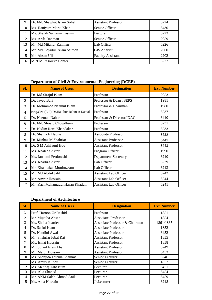| о  | Dr. Md. Shawkat Islam Sohel | <b>Assistant Professor</b> | 6224 |
|----|-----------------------------|----------------------------|------|
| 10 | Ms. Haniyum Maria Khan      | Senior Officer             | 6430 |
|    | Ms. Sheikh Samanin Tasnim   | Lecturer                   | 6223 |
| 12 | Ms. Arifa Rahman            | Senior Officer             | 2059 |
| 13 | Mr. Md.Mijanur Rahman       | Lab Officer                | 6226 |
| 14 | Mr. Md. Sajadul Alam Saimon | <b>GIS Analyst</b>         | 2060 |
| 15 | Mr. Ahsan Ulla              | <b>Faculty Assistant</b>   | 2202 |
|    | <b>MREM Resource Center</b> |                            | 6227 |

# **Department of Civil & Environmental Engineering (DCEE)**

| SL             | <b>Name of Users</b>                   | <b>Designation</b>           | <b>Ext. Number</b> |
|----------------|----------------------------------------|------------------------------|--------------------|
| 1              | Dr. Md.Sirajul Islam                   | Professor                    | 2053               |
| $\overline{2}$ | Dr. Javed Bari                         | Professor & Dean, SEPS       | 1981               |
| 3              | Dr. Mohmmad Nazmul Islam               | Professor & Chairman         | 1980               |
| 4              | Brig.Gen.(Rtd) Dr.Habibur Rahman Kamal | Professor                    | 6237               |
| 5              | Dr. Nazmun Nahar                       | Professor & Director, IQAC   | 6440               |
| 6              | Dr. Md. Shoaib Chowdhury               | Professor                    | 6231               |
| $\tau$         | Dr. Nadim Reza Khandaker               | Professor                    | 6233               |
| 8              | Dr. Shama E Haque                      | <b>Associate Professor</b>   | 6232               |
| 9              | Dr. Minhaz M Shahriar                  | <b>Assistant Professor</b>   | 6441               |
| 10             | Dr. S M Ashfaqul Hoq                   | <b>Assistant Professor</b>   | 6443               |
| 11             | Ms. Khaleda Akter                      | Program Officer              | 1990               |
| 12             | Ms. Jannatul Ferdowshi                 | <b>Department Secretary</b>  | 6240               |
| 13             | Ms. Khadiza Akter                      | Lab Officer                  | 6239               |
| 14             | Mr. Khandakar Moniruzzaman             | Lab Officer                  | 6243               |
| 15             | Mr. Md Abdul Jalil                     | <b>Assistant Lab Officer</b> | 6242               |
| 16             | Mr. Anwar Hossain                      | <b>Assistant Lab Officer</b> | 6244               |
| 17             | Mr. Kazi Mahamudul Hasan Khadem        | <b>Assistant Lab Officer</b> | 6241               |

### **Department of Architecture**

| SL | <b>Name of Users</b>       | <b>Designation</b>             | <b>Ext. Number</b> |
|----|----------------------------|--------------------------------|--------------------|
| 1  | Prof. Haroon Ur Rashid     | Professor                      | 1851               |
| 2  | Mr. Mujtaba Ahsan          | <b>Associate Professor</b>     | 1854               |
| 3  | Ms. Shaila Joarder         | Associate Professor & Chairman | 1861/1865          |
| 4  | Dr. Saiful Islam           | <b>Associate Professor</b>     | 1852               |
| 5  | Dr. Nandini Awal           | <b>Associate Professor</b>     | 6452               |
| 6  | Mr. Shahriar Iqbal Raj     | <b>Assistant Professor</b>     | 1855               |
| 7  | Ms. Ismat Hossain          | <b>Assistant Professor</b>     | 1858               |
| 8  | Mr. Sujaul Islam khan      | <b>Assistant Professor</b>     | 6249               |
| 9  | Mr. Maruf Hossain          | <b>Assistant Professor</b>     | 6453               |
| 10 | Ms. Shanjida Fatema Shamma | Senior Lecturer                | 6246               |
| 11 | Ms. Amity Kundu            | Senior Lecturer                | 1857               |
| 12 | Ms. Mehnaj Tabassum        | Lecturer                       | 6451               |
| 13 | Ms. Alia Shahed            | Lecturer                       | 6454               |
| 14 | Mr. AKM Saleh Ahmed Anik   | Lecturer                       | 6459               |
| 15 | Ms. Aida Hossain           | Jr.Lecturer                    | 6248               |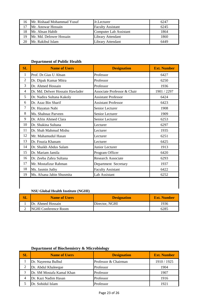| 16 | Mr. Rishaad Mohammad Yusuf | Jr.Lecturer              | 6247 |
|----|----------------------------|--------------------------|------|
|    | Mr. Anowar Hossain         | <b>Faculty Assistant</b> | 6245 |
| 18 | Mr. Ahsan Habib            | Computer Lab Assistant   | 1864 |
| 19 | Mr. Md. Delower Hossain    | <b>Library Attendant</b> | 1860 |
| 20 | Mr. Rakibul Islam          | <b>Library Attendant</b> | 6449 |

# **Department of Public Health**

| SL | <b>Name of Users</b>            | <b>Designation</b>          | <b>Ext. Number</b> |
|----|---------------------------------|-----------------------------|--------------------|
| 1  | Prof. Dr.Gias U Ahsan           | Professor                   | 6427               |
| 2  | Dr. Dipak Kumar Mitra           | Professor                   | 6250               |
| 3  | Dr. Ahmed Hossain               | Professor                   | 1936               |
| 4  | Dr. Md. Delwer Hossain Hawlader | Associate Professor & Chair | 1901 / 2297        |
| 5  | Dr. Nadira Sultana Kakoly       | <b>Assistant Professor</b>  | 6424               |
| 6  | Dr. Azaz Bin Sharif             | <b>Assistant Professor</b>  | 6423               |
| 7  | Dr. Hayatun Nabi                | Senior Lecturer             | 1908               |
| 8  | Ms. Shahnaz Parveen             | Senior Lecturer             | 1909               |
| 9  | Dr. Afrin Ahmed Clara           | Senior Lecturer             | 6253               |
| 10 | Dr. Shakina Sultana             | Lecturer                    | 6297               |
| 11 | Dr. Shah Mahmud Mishu           | Lecturer                    | 1935               |
| 12 | Mr. Mahamudul Hasan             | Lecturer                    | 6251               |
| 13 | Dr. Fouzia Khanam               | Lecturer                    | 6425               |
| 14 | Dr. Shaikh Abdus Salam          | Junior Lecturer             | 1913               |
| 15 | Dr. Mariam Jamila               | Program Officer             | 6420               |
| 16 | Dr. Zeeba Zahra Sultana         | <b>Research Associate</b>   | 6293               |
| 17 | Mr. Mostafizur Rahman           | Department Secretary        | 1937               |
| 18 | Ms. Jasmin Juthy                | <b>Faculty Assistant</b>    | 6422               |
| 19 | Ms. Afsana Jabin Shusmita       | Lab Assistant               | 6252               |
|    |                                 |                             |                    |

# **NSU Global Health Institute (NGHI)**

| <b>Name of Users</b>         | <b>Designation</b> | <b>Ext. Number</b> |
|------------------------------|--------------------|--------------------|
| Dr. Ahmed Hossain            | Director, NGHI     | 1936               |
| <b>INGHI Conference Room</b> |                    | 6285               |

# **Department of Biochemistry & Microbiology**

| <b>SL</b> | <b>Name of Users</b>      | <b>Designation</b>   | <b>Ext. Number</b> |
|-----------|---------------------------|----------------------|--------------------|
|           | Dr. Nayeema Bulbul        | Professor & Chairman | 1910 / 1925        |
|           | Dr. Abdul Khaleeque       | Professor            | 1904               |
|           | Dr. SM Mostafa Kamal Khan | Professor            | 1907               |
| 4         | Dr. Kazi Nadim Hasan      | Professor            | 1916               |
|           | Dr. Sohidul Islam         | Professor            | 1921               |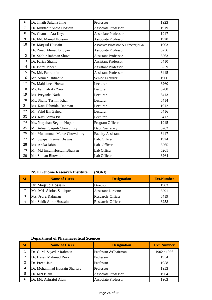| 6      | Dr. Jinath Sultana Jime      | Professor                            | 1923 |
|--------|------------------------------|--------------------------------------|------|
| $\tau$ | Dr. Muktadir Shaid Hossain   | <b>Associate Professor</b>           | 1919 |
| 8      | Dr. Chaman Ara Keya          | <b>Associate Professor</b>           | 1917 |
| 9      | Dr. Md. Mainul Hossain       | <b>Associate Professor</b>           | 1920 |
| 10     | Dr. Maqsud Hossain           | Associate Professor & Director, NGRI | 1903 |
| 11     | Dr. Zaied Ahmed Bhuyan       | <b>Associate Professor</b>           | 6256 |
| 12     | Dr. Sabbir Rahman Shuvo      | <b>Assistant Professor</b>           | 6263 |
| 13     | Dr. Fariza Shams             | <b>Assistant Professor</b>           | 6410 |
| 14     | Dr. Ishrat Jabeen            | <b>Assistant Professor</b>           | 6259 |
| 15     | Dr. Md. Fakruddin            | <b>Assistant Professor</b>           | 6415 |
| 16     | Mr. Ahmed Ishtiaque          | Senior Lecturer                      | 1906 |
| 17     | Dr. Mahjabeen Hossain        | Lecturer                             | 6260 |
| 18     | Ms. Fatimah Az Zara          | Lecturer                             | 6288 |
| 19     | Ms. Preyanka Nath            | Lecturer                             | 6413 |
| 20     | Ms. Shafia Tasnim Khan       | Lecturer                             | 6414 |
| 21     | Ms. Kazi Fahmida Rahman      | Lecturer                             | 1912 |
| 22     | Mr. Fahd Bin Zahed           | Lecturer                             | 6416 |
| 23     | Ms. Kazi Samia Pial          | Lecturer                             | 6412 |
| 24     | Ms. Nurjahan Begum Nupur     | Program Officer                      | 1915 |
| 25     | Mr. Adnan Saquib Chowdhury   | Dept. Secretary                      | 6262 |
| 26     | Mr. Muhammad Meraz Chowdhury | <b>Faculty Assistant</b>             | 6417 |
| 27     | Mr. Swapan Kumar Biswas      | Lab. Officer                         | 1924 |
| 28     | Ms. Anika Jabin              | Lab. Officer                         | 6265 |
| 29     | Mr. Md Imran Hossain Bhuiyan | Lab Officer                          | 6261 |
| 30     | Mr. Suman Bhowmik            | Lab Officer                          | 6264 |

# **NSU Genome Research Institute (NGRI)**

| <b>SL</b> | <b>Name of Users</b>    | <b>Designation</b>        | <b>Ext.Number</b> |
|-----------|-------------------------|---------------------------|-------------------|
|           | Dr. Maqsud Hossain      | Director                  | 1903              |
|           | Mr. Md. Abdus Sadique   | <b>Assistant Director</b> | 6291              |
|           | Ms. Aura Rahman         | Research Officer          | 6419              |
|           | Mr. Sakib Abrar Hossain | Research Officer          | 6258              |

# **Department of Pharmaceutical Sciences**

| SL | <b>Name of Users</b>          | <b>Designation</b>         | <b>Ext. Number</b> |
|----|-------------------------------|----------------------------|--------------------|
|    | Dr. G. M. Sayedur Rahman      | Professor & Chairman       | 1902 / 1956        |
|    | Dr. Hasan Mahmud Reza         | Professor                  | 1954               |
|    | Dr. Preeti Jain               | Professor                  | 1958               |
|    | Dr. Mohammad Hossain Shariare | Professor                  | 1953               |
|    | Dr. MN Islam                  | <b>Associate Professor</b> | 1964               |
| 6  | Dr. Md. Ashraful Alam         | <b>Associate Professor</b> | 1963               |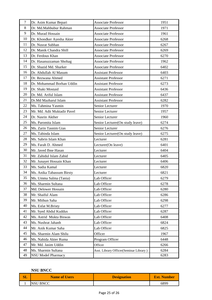| $\boldsymbol{7}$ | Dr. Asim Kumar Bepari       | <b>Associate Professor</b>             | 1951 |
|------------------|-----------------------------|----------------------------------------|------|
| 8                | Dr. Md.Mahbubur Rahman      | <b>Associate Professor</b>             | 1971 |
| 9                | Dr. Murad Hossain           | <b>Associate Professor</b>             | 1961 |
| 10               | Dr. Khondker Ayesha Akter   | <b>Associate Professor</b>             | 6268 |
| 11               | Dr. Nusrat Subhan           | <b>Associate Professor</b>             | 6267 |
| 12               | Dr. Manik Chandra Shill     | <b>Associate Professor</b>             | 6269 |
| 13               | Dr. Ferdous Khan            | <b>Associate Professor</b>             | 6270 |
| 14               | Dr. Hasanuzzaman Shohag     | <b>Associate Professor</b>             | 1962 |
| 15               | Dr. Shazid Md. Sharker      | <b>Associate Professor</b>             | 6402 |
| 16               | Dr. Abdullah Al Masum       | <b>Assistant Professor</b>             | 6403 |
| 17               | Dr. Rezwana Ahmed           | <b>Assistant Professor</b>             | 6271 |
| 18               | Dr. Mohammad Borhan Uddin   | <b>Assistant Professor</b>             | 6273 |
| 19               | Dr. Shaki Mostaid           | <b>Assistant Professor</b>             | 6436 |
| 20               | Dr. Md. Ariful Islam        | <b>Assistant Professor</b>             | 6437 |
| 21               | Dr.Md Mazharul Islam        | <b>Assistant Professor</b>             | 6282 |
| 22               | Ms. Tahmina Yasmin          | Senior Lecturer                        | 1970 |
| 23               | Mr. Md. Adit Muktadir Pavel | Senior Lecturer                        | 1957 |
| 24               | Dr. Nasrin Akther           | Senior Lecturer                        | 1960 |
| 25               | Ms. Paromita Islam          | Senior Lecturer(On study leave)        | 6274 |
| 26               | Ms. Zarin Tasnim Gias       | Senior Lecturer                        | 6276 |
| 27               | Ms. Tabinda Islam           | Senior Lecturer(On study leave)        | 6275 |
| 28               | Ms. Sabrin Islam Khan       | Lecturer                               | 6281 |
| 29               | Ms. Farah D. Ahmed          | Lecturer(On leave)                     | 6401 |
| 30               | Mr. Javed Ibne Hasan        | Lecturer                               | 6404 |
| 31               | Mr. Zahidul Islam Zahid     | Lecturer                               | 6405 |
| 32               | Mr. Junayet Hossain Khan    | Lecturer                               | 6406 |
| 33               | Ms. Sadia Kamal             | Lecturer                               | 6820 |
| 34               | Ms. Anika Tabassum Birsty   | Lecturer                               | 6821 |
| 35               | Ms. Umma Salma (Tania)      | Lab Officer                            | 6279 |
| 36               | Ms. Sharmin Sultana         | Lab Officer                            | 6278 |
| 37               | Md. Delower Hossain         | Lab Officer                            | 6280 |
| 38               | Mr. Shaiful Alam            | Lab Officer                            | 6286 |
| 39               | Mr. Mithun Saha             | Lab Officer                            | 6298 |
| 40               | Ms. Esfat M.Bristy          | Lab Officer                            | 6277 |
| 41               | Mr. Syed Abdul Kuddus       | Lab Officer                            | 6287 |
| 42               | Ms. Astrid Mukta Biswas     | Lab Officer                            | 6408 |
| 43               | Ms. Nushrat Jahanh          | Lab Officer                            | 6824 |
| 44               | Mr. Anik Kumar Saha         | Lab Officer                            | 6825 |
| 45               | Ms. Sharmin Alam Shilu      | Officer                                | 1967 |
| 46               | Ms. Nahida Akter Ruma       | Program Officer                        | 6448 |
| 47               | Mr. Md. Jasim Uddin         | Officer                                | 6266 |
| 48               | Ms. Sharmin Sultana         | Asst. Library Officer(Seminar Library) | 6284 |
| 49               | <b>NSU Model Pharmacy</b>   |                                        | 6283 |

### **NSU BNCC**

| 'OL | <b>Name of Users</b> | <b>Designation</b> | <b>Ext. Number</b> |
|-----|----------------------|--------------------|--------------------|
|     | NSU BNCC             |                    | 6899               |